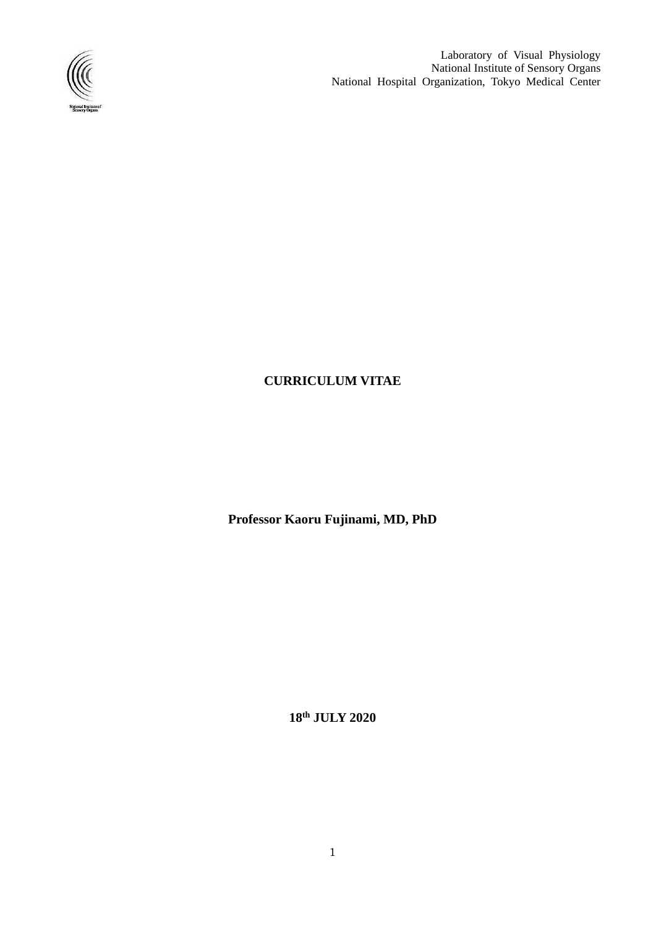

Laboratory of Visual Physiology National Institute of Sensory Organs National Hospital Organization, Tokyo Medical Center

### **CURRICULUM VITAE**

**Professor Kaoru Fujinami, MD, PhD**

**18 th JULY 2020**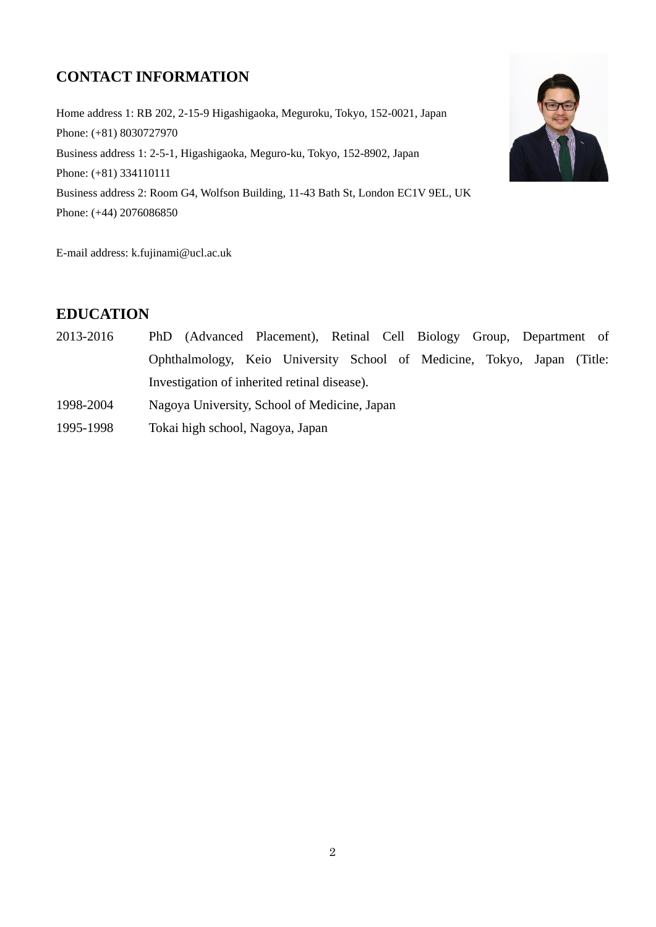# **CONTACT INFORMATION**

Home address 1: RB 202, 2-15-9 Higashigaoka, Meguroku, Tokyo, 152-0021, Japan Phone: (+81) 8030727970 Business address 1: 2-5-1, Higashigaoka, Meguro-ku, Tokyo, 152-8902, Japan Phone: (+81) 334110111 Business address 2: Room G4, Wolfson Building, 11-43 Bath St, London EC1V 9EL, UK Phone: (+44) 2076086850



E-mail address: k.fujinami@ucl.ac.uk

# **EDUCATION**

- 2013-2016 PhD (Advanced Placement), Retinal Cell Biology Group, Department of Ophthalmology, Keio University School of Medicine, Tokyo, Japan (Title: Investigation of inherited retinal disease).
- 1998-2004 Nagoya University, School of Medicine, Japan
- 1995-1998 Tokai high school, Nagoya, Japan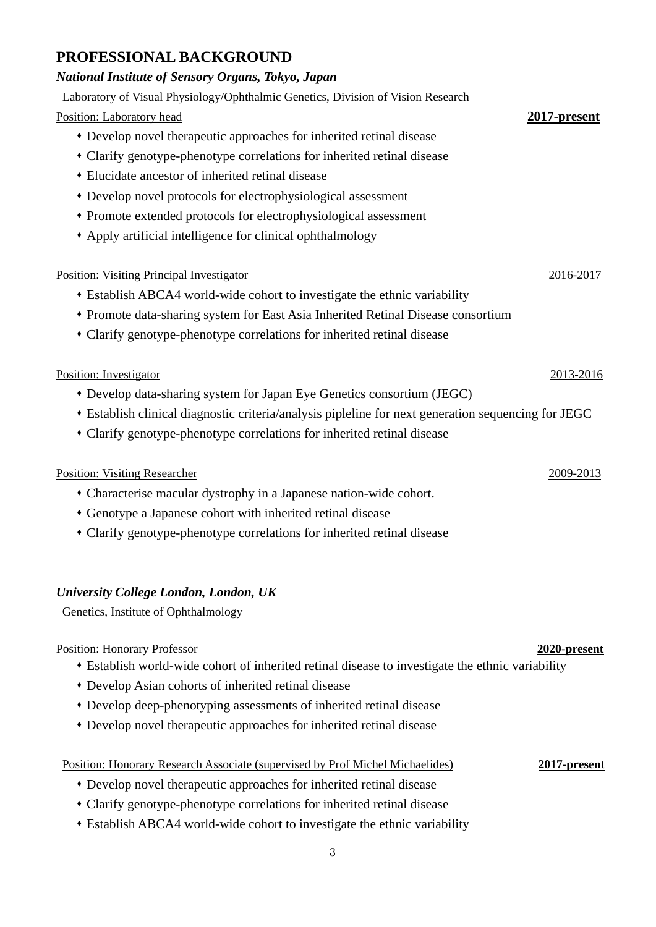# **PROFESSIONAL BACKGROUND**

#### *National Institute of Sensory Organs, Tokyo, Japan*

Laboratory of Visual Physiology/Ophthalmic Genetics, Division of Vision Research Position: Laboratory head **2017-present** ⬧ Develop novel therapeutic approaches for inherited retinal disease ⬧ Clarify genotype-phenotype correlations for inherited retinal disease ⬧ Elucidate ancestor of inherited retinal disease ⬧ Develop novel protocols for electrophysiological assessment ⬧ Promote extended protocols for electrophysiological assessment ⬧ Apply artificial intelligence for clinical ophthalmology Position: Visiting Principal Investigator 2016-2017 ⬧ Establish ABCA4 world-wide cohort to investigate the ethnic variability ⬧ Promote data-sharing system for East Asia Inherited Retinal Disease consortium ⬧ Clarify genotype-phenotype correlations for inherited retinal disease Position: Investigator 2013-2016 ⬧ Develop data-sharing system for Japan Eye Genetics consortium (JEGC) ⬧ Establish clinical diagnostic criteria/analysis pipleline for next generation sequencing for JEGC ⬧ Clarify genotype-phenotype correlations for inherited retinal disease Position: Visiting Researcher 2009-2013 ⬧ Characterise macular dystrophy in a Japanese nation-wide cohort. ⬧ Genotype a Japanese cohort with inherited retinal disease ⬧ Clarify genotype-phenotype correlations for inherited retinal disease *University College London, London, UK*  Genetics, Institute of Ophthalmology Position: Honorary Professor **2020-present** ⬧ Establish world-wide cohort of inherited retinal disease to investigate the ethnic variability

- ⬧ Develop Asian cohorts of inherited retinal disease
- ⬧ Develop deep-phenotyping assessments of inherited retinal disease
- ⬧ Develop novel therapeutic approaches for inherited retinal disease

#### Position: Honorary Research Associate (supervised by Prof Michel Michaelides) **2017-present**

- ⬧ Develop novel therapeutic approaches for inherited retinal disease
- ⬧ Clarify genotype-phenotype correlations for inherited retinal disease
- ⬧ Establish ABCA4 world-wide cohort to investigate the ethnic variability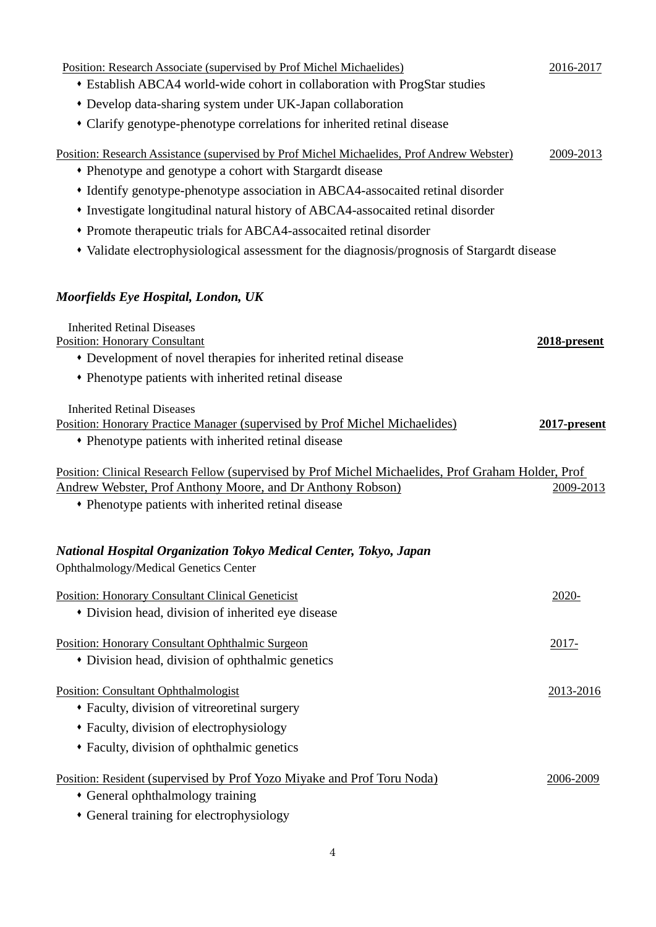| Position: Research Associate (supervised by Prof Michel Michaelides)<br>• Establish ABCA4 world-wide cohort in collaboration with ProgStar studies     | 2016-2017       |
|--------------------------------------------------------------------------------------------------------------------------------------------------------|-----------------|
| • Develop data-sharing system under UK-Japan collaboration                                                                                             |                 |
| • Clarify genotype-phenotype correlations for inherited retinal disease                                                                                |                 |
| Position: Research Assistance (supervised by Prof Michel Michaelides, Prof Andrew Webster)<br>• Phenotype and genotype a cohort with Stargardt disease | 2009-2013       |
| • Identify genotype-phenotype association in ABCA4-assocaited retinal disorder                                                                         |                 |
| • Investigate longitudinal natural history of ABCA4-assocaited retinal disorder                                                                        |                 |
| • Promote therapeutic trials for ABCA4-assocaited retinal disorder                                                                                     |                 |
| • Validate electrophysiological assessment for the diagnosis/prognosis of Stargardt disease                                                            |                 |
| Moorfields Eye Hospital, London, UK                                                                                                                    |                 |
| <b>Inherited Retinal Diseases</b><br><b>Position: Honorary Consultant</b>                                                                              | 2018-present    |
| • Development of novel therapies for inherited retinal disease                                                                                         |                 |
| • Phenotype patients with inherited retinal disease                                                                                                    |                 |
| <b>Inherited Retinal Diseases</b>                                                                                                                      |                 |
| Position: Honorary Practice Manager (supervised by Prof Michel Michaelides)<br>• Phenotype patients with inherited retinal disease                     | $2017$ -present |
| Position: Clinical Research Fellow (supervised by Prof Michel Michaelides, Prof Graham Holder, Prof                                                    |                 |
| Andrew Webster, Prof Anthony Moore, and Dr Anthony Robson)                                                                                             | 2009-2013       |
| • Phenotype patients with inherited retinal disease                                                                                                    |                 |
| National Hospital Organization Tokyo Medical Center, Tokyo, Japan<br>Ophthalmology/Medical Genetics Center                                             |                 |
| <b>Position: Honorary Consultant Clinical Geneticist</b>                                                                                               | $2020 -$        |
| • Division head, division of inherited eye disease                                                                                                     |                 |
| Position: Honorary Consultant Ophthalmic Surgeon                                                                                                       | 2017-           |
| • Division head, division of ophthalmic genetics                                                                                                       |                 |
| Position: Consultant Ophthalmologist                                                                                                                   | 2013-2016       |
| • Faculty, division of vitreoretinal surgery                                                                                                           |                 |
| • Faculty, division of electrophysiology                                                                                                               |                 |
| • Faculty, division of ophthalmic genetics                                                                                                             |                 |
| Position: Resident (supervised by Prof Yozo Miyake and Prof Toru Noda)                                                                                 | 2006-2009       |
| • General ophthalmology training                                                                                                                       |                 |
| • General training for electrophysiology                                                                                                               |                 |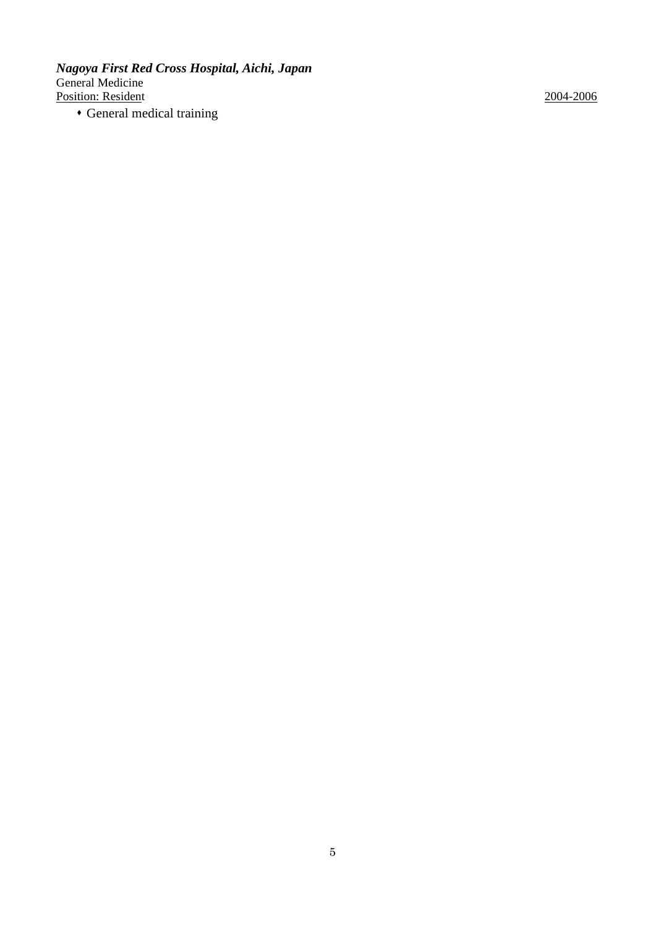*Nagoya First Red Cross Hospital, Aichi, Japan* General Medicine Position: Resident 2004-2006

⬧ General medical training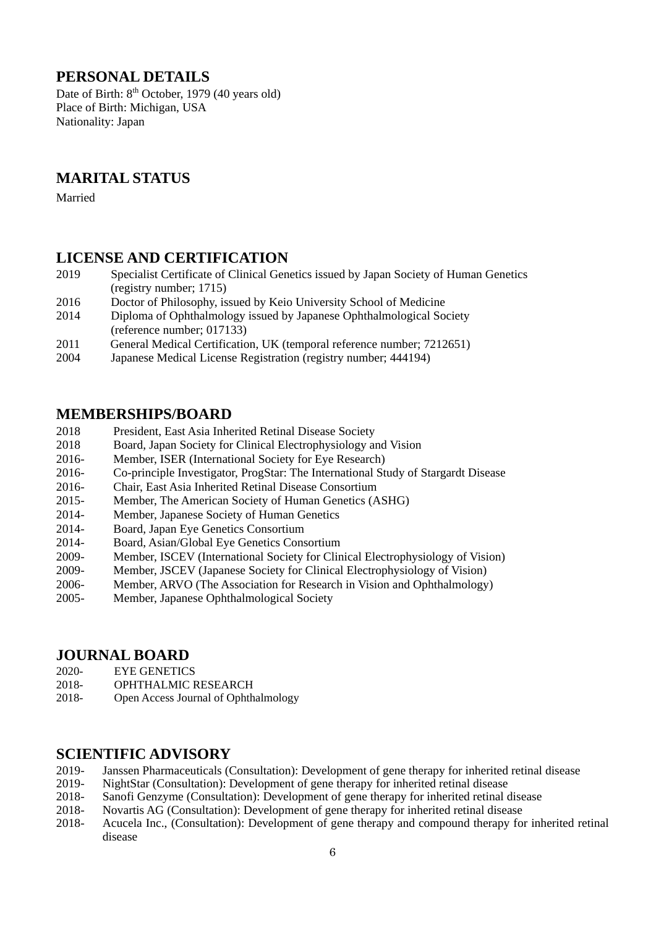# **PERSONAL DETAILS**

Date of Birth:  $8<sup>th</sup>$  October, 1979 (40 years old) Place of Birth: Michigan, USA Nationality: Japan

# **MARITAL STATUS**

Married

### **LICENSE AND CERTIFICATION**

- 2019 Specialist Certificate of Clinical Genetics issued by Japan Society of Human Genetics (registry number; 1715)
- 2016 Doctor of Philosophy, issued by Keio University School of Medicine
- 2014 Diploma of Ophthalmology issued by Japanese Ophthalmological Society (reference number; 017133)
- 2011 General Medical Certification, UK (temporal reference number; 7212651)
- 2004 Japanese Medical License Registration (registry number; 444194)

### **MEMBERSHIPS/BOARD**

- 2018 President, East Asia Inherited Retinal Disease Society
- 2018 Board, Japan Society for Clinical Electrophysiology and Vision
- 2016- Member, ISER (International Society for Eye Research)
- 2016- Co-principle Investigator, ProgStar: The International Study of Stargardt Disease
- 2016- Chair, East Asia Inherited Retinal Disease Consortium
- 2015- Member, The American Society of Human Genetics (ASHG)
- 2014- Member, Japanese Society of Human Genetics
- 2014- Board, Japan Eye Genetics Consortium
- 2014- Board, Asian/Global Eye Genetics Consortium
- 2009- Member, ISCEV (International Society for Clinical Electrophysiology of Vision)
- 2009- Member, JSCEV (Japanese Society for Clinical Electrophysiology of Vision)
- 2006- Member, ARVO (The Association for Research in Vision and Ophthalmology)
- 2005- Member, Japanese Ophthalmological Society

#### **JOURNAL BOARD**

2020- EYE GENETICS

- 2018- OPHTHALMIC RESEARCH
- 2018- Open Access Journal of Ophthalmology

# **SCIENTIFIC ADVISORY**

- 2019- Janssen Pharmaceuticals (Consultation): Development of gene therapy for inherited retinal disease<br>2019- NightStar (Consultation): Development of gene therapy for inherited retinal disease
- NightStar (Consultation): Development of gene therapy for inherited retinal disease
- 2018- Sanofi Genzyme (Consultation): Development of gene therapy for inherited retinal disease
- 2018- Novartis AG (Consultation): Development of gene therapy for inherited retinal disease
- 2018- Acucela Inc., (Consultation): Development of gene therapy and compound therapy for inherited retinal disease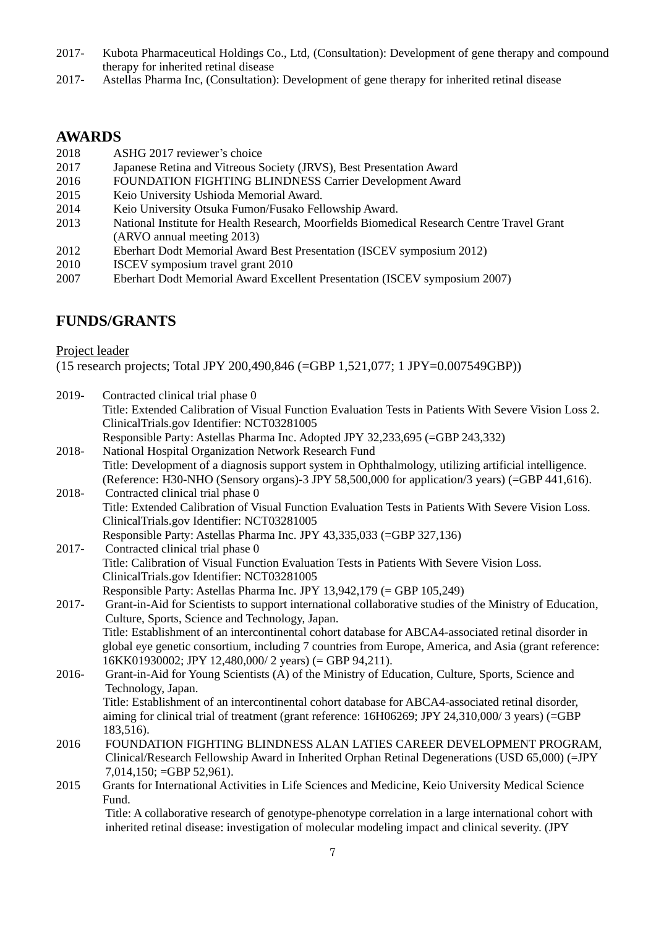- 2017- Kubota Pharmaceutical Holdings Co., Ltd, (Consultation): Development of gene therapy and compound therapy for inherited retinal disease
- 2017- Astellas Pharma Inc, (Consultation): Development of gene therapy for inherited retinal disease

#### **AWARDS**

- 2018 ASHG 2017 reviewer's choice
- 2017 Japanese Retina and Vitreous Society (JRVS), Best Presentation Award
- 2016 FOUNDATION FIGHTING BLINDNESS Carrier Development Award
- 2015 Keio University Ushioda Memorial Award.
- 2014 Keio University Otsuka Fumon/Fusako Fellowship Award.
- 2013 National Institute for Health Research, Moorfields Biomedical Research Centre Travel Grant (ARVO annual meeting 2013)
- 2012 Eberhart Dodt Memorial Award Best Presentation (ISCEV symposium 2012)
- 2010 ISCEV symposium travel grant 2010
- 2007 Eberhart Dodt Memorial Award Excellent Presentation (ISCEV symposium 2007)

# **FUNDS/GRANTS**

Project leader

(15 research projects; Total JPY 200,490,846 (=GBP 1,521,077; 1 JPY=0.007549GBP))

| 2019-    | Contracted clinical trial phase 0                                                                        |
|----------|----------------------------------------------------------------------------------------------------------|
|          | Title: Extended Calibration of Visual Function Evaluation Tests in Patients With Severe Vision Loss 2.   |
|          | ClinicalTrials.gov Identifier: NCT03281005                                                               |
|          | Responsible Party: Astellas Pharma Inc. Adopted JPY 32,233,695 (=GBP 243,332)                            |
| 2018-    | National Hospital Organization Network Research Fund                                                     |
|          | Title: Development of a diagnosis support system in Ophthalmology, utilizing artificial intelligence.    |
|          | (Reference: H30-NHO (Sensory organs)-3 JPY 58,500,000 for application/3 years) (=GBP 441,616).           |
| 2018-    | Contracted clinical trial phase 0                                                                        |
|          | Title: Extended Calibration of Visual Function Evaluation Tests in Patients With Severe Vision Loss.     |
|          | ClinicalTrials.gov Identifier: NCT03281005                                                               |
|          | Responsible Party: Astellas Pharma Inc. JPY 43,335,033 (=GBP 327,136)                                    |
| $2017 -$ | Contracted clinical trial phase 0                                                                        |
|          | Title: Calibration of Visual Function Evaluation Tests in Patients With Severe Vision Loss.              |
|          | ClinicalTrials.gov Identifier: NCT03281005                                                               |
|          | Responsible Party: Astellas Pharma Inc. JPY 13,942,179 (= GBP 105,249)                                   |
| 2017-    | Grant-in-Aid for Scientists to support international collaborative studies of the Ministry of Education, |
|          | Culture, Sports, Science and Technology, Japan.                                                          |
|          | Title: Establishment of an intercontinental cohort database for ABCA4-associated retinal disorder in     |
|          | global eye genetic consortium, including 7 countries from Europe, America, and Asia (grant reference:    |
|          | 16KK01930002; JPY 12,480,000/2 years) (= GBP 94,211).                                                    |
| 2016-    | Grant-in-Aid for Young Scientists (A) of the Ministry of Education, Culture, Sports, Science and         |
|          | Technology, Japan.                                                                                       |
|          | Title: Establishment of an intercontinental cohort database for ABCA4-associated retinal disorder,       |
|          | aiming for clinical trial of treatment (grant reference: 16H06269; JPY 24,310,000/3 years) (=GBP         |
|          | 183,516).                                                                                                |
| 2016     | FOUNDATION FIGHTING BLINDNESS ALAN LATIES CAREER DEVELOPMENT PROGRAM,                                    |
|          | Clinical/Research Fellowship Award in Inherited Orphan Retinal Degenerations (USD 65,000) (=JPY          |
|          | $7,014,150$ ; =GBP 52,961).                                                                              |
| 2015     | Grants for International Activities in Life Sciences and Medicine, Keio University Medical Science       |
|          | Fund.                                                                                                    |
|          | Title: A collaborative research of genotype-phenotype correlation in a large international cohort with   |
|          | inherited retinal disease: investigation of molecular modeling impact and clinical severity. (JPY        |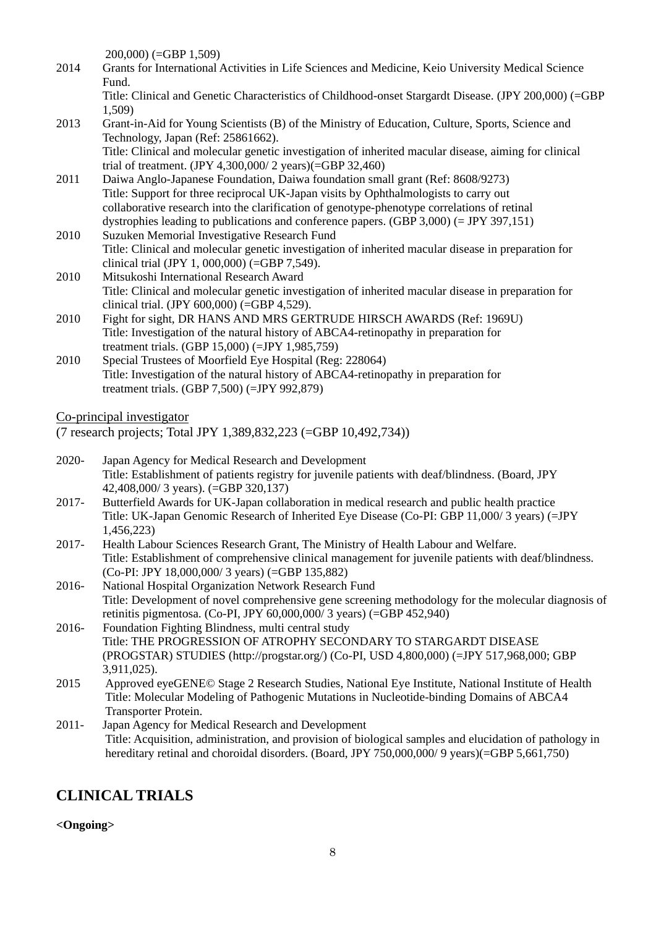200,000) (=GBP 1,509)

2014 Grants for International Activities in Life Sciences and Medicine, Keio University Medical Science Fund.

Title: Clinical and Genetic Characteristics of Childhood-onset Stargardt Disease. (JPY 200,000) (=GBP 1,509)

- 2013 Grant-in-Aid for Young Scientists (B) of the Ministry of Education, Culture, Sports, Science and Technology, Japan (Ref: 25861662). Title: Clinical and molecular genetic investigation of inherited macular disease, aiming for clinical trial of treatment. (JPY 4,300,000/ 2 years)(=GBP 32,460)
- 2011 Daiwa Anglo-Japanese Foundation, Daiwa foundation small grant (Ref: 8608/9273) Title: Support for three reciprocal UK-Japan visits by Ophthalmologists to carry out collaborative research into the clarification of genotype-phenotype correlations of retinal dystrophies leading to publications and conference papers. (GBP 3,000) (= JPY 397,151)
- 2010 Suzuken Memorial Investigative Research Fund Title: Clinical and molecular genetic investigation of inherited macular disease in preparation for clinical trial (JPY 1, 000,000) (=GBP 7,549).
- 2010 Mitsukoshi International Research Award Title: Clinical and molecular genetic investigation of inherited macular disease in preparation for clinical trial. (JPY 600,000) (=GBP 4,529).
- 2010 Fight for sight, DR HANS AND MRS GERTRUDE HIRSCH AWARDS (Ref: 1969U) Title: Investigation of the natural history of ABCA4-retinopathy in preparation for treatment trials. (GBP 15,000) (=JPY 1,985,759)
- 2010 Special Trustees of Moorfield Eye Hospital (Reg: 228064) Title: Investigation of the natural history of ABCA4-retinopathy in preparation for treatment trials. (GBP 7,500) (=JPY 992,879)

Co-principal investigator

(7 research projects; Total JPY 1,389,832,223 (=GBP 10,492,734))

- 2020- Japan Agency for Medical Research and Development Title: Establishment of patients registry for juvenile patients with deaf/blindness. (Board, JPY 42,408,000/ 3 years). (=GBP 320,137)
- 2017- Butterfield Awards for UK-Japan collaboration in medical research and public health practice Title: UK-Japan Genomic Research of Inherited Eye Disease (Co-PI: GBP 11,000/ 3 years) (=JPY 1,456,223)
- 2017- Health Labour Sciences Research Grant, The Ministry of Health Labour and Welfare. Title: Establishment of comprehensive clinical management for juvenile patients with deaf/blindness. (Co-PI: JPY 18,000,000/ 3 years) (=GBP 135,882)
- 2016- National Hospital Organization Network Research Fund Title: Development of novel comprehensive gene screening methodology for the molecular diagnosis of retinitis pigmentosa. (Co-PI, JPY 60,000,000/ 3 years) (=GBP 452,940)
- 2016- Foundation Fighting Blindness, multi central study Title: THE PROGRESSION OF ATROPHY SECONDARY TO STARGARDT DISEASE (PROGSTAR) STUDIES (http://progstar.org/) (Co-PI, USD 4,800,000) (=JPY 517,968,000; GBP 3,911,025).
- 2015 Approved eyeGENE© Stage 2 Research Studies, National Eye Institute, National Institute of Health Title: Molecular Modeling of Pathogenic Mutations in Nucleotide-binding Domains of ABCA4 Transporter Protein.
- 2011- Japan Agency for Medical Research and Development Title: Acquisition, administration, and provision of biological samples and elucidation of pathology in hereditary retinal and choroidal disorders. (Board, JPY 750,000,000/ 9 years)(=GBP 5,661,750)

# **CLINICAL TRIALS**

#### **<Ongoing>**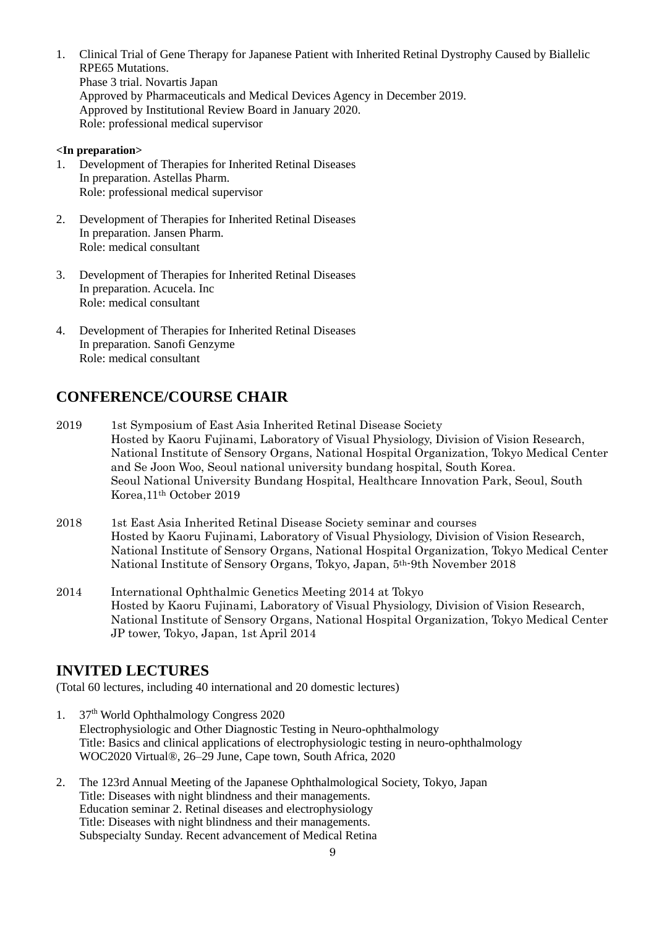1. Clinical Trial of Gene Therapy for Japanese Patient with Inherited Retinal Dystrophy Caused by Biallelic RPE65 Mutations. Phase 3 trial. Novartis Japan Approved by Pharmaceuticals and Medical Devices Agency in December 2019. Approved by Institutional Review Board in January 2020. Role: professional medical supervisor

#### **<In preparation>**

- 1. Development of Therapies for Inherited Retinal Diseases In preparation. Astellas Pharm. Role: professional medical supervisor
- 2. Development of Therapies for Inherited Retinal Diseases In preparation. Jansen Pharm. Role: medical consultant
- 3. Development of Therapies for Inherited Retinal Diseases In preparation. Acucela. Inc Role: medical consultant
- 4. Development of Therapies for Inherited Retinal Diseases In preparation. Sanofi Genzyme Role: medical consultant

# **CONFERENCE/COURSE CHAIR**

- 2019 1st Symposium of East Asia Inherited Retinal Disease Society Hosted by Kaoru Fujinami, Laboratory of Visual Physiology, Division of Vision Research, National Institute of Sensory Organs, National Hospital Organization, Tokyo Medical Center and Se Joon Woo, Seoul national university bundang hospital, South Korea. Seoul National University Bundang Hospital, Healthcare Innovation Park, Seoul, South Korea,11th October 2019
- 2018 1st East Asia Inherited Retinal Disease Society seminar and courses Hosted by Kaoru Fujinami, Laboratory of Visual Physiology, Division of Vision Research, National Institute of Sensory Organs, National Hospital Organization, Tokyo Medical Center National Institute of Sensory Organs, Tokyo, Japan, 5th-9th November 2018
- 2014 International Ophthalmic Genetics Meeting 2014 at Tokyo Hosted by Kaoru Fujinami, Laboratory of Visual Physiology, Division of Vision Research, National Institute of Sensory Organs, National Hospital Organization, Tokyo Medical Center JP tower, Tokyo, Japan, 1st April 2014

## **INVITED LECTURES**

(Total 60 lectures, including 40 international and 20 domestic lectures)

- 1. 37<sup>th</sup> World Ophthalmology Congress 2020 Electrophysiologic and Other Diagnostic Testing in Neuro-ophthalmology Title: Basics and clinical applications of electrophysiologic testing in neuro-ophthalmology WOC2020 Virtual®, 26–29 June, Cape town, South Africa, 2020
- 2. The 123rd Annual Meeting of the Japanese Ophthalmological Society, Tokyo, Japan Title: Diseases with night blindness and their managements. Education seminar 2. Retinal diseases and electrophysiology Title: Diseases with night blindness and their managements. Subspecialty Sunday. Recent advancement of Medical Retina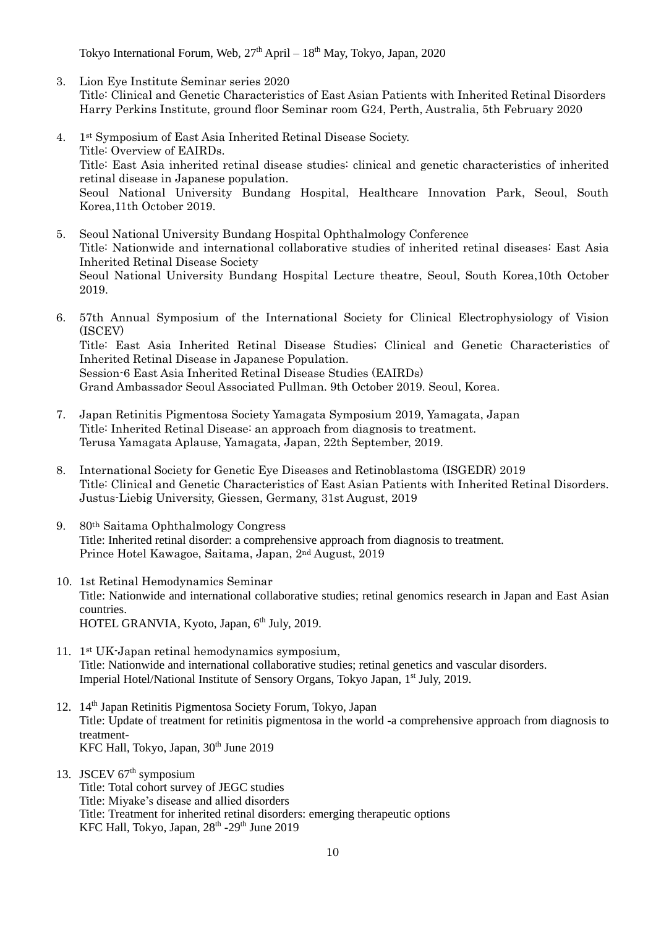Tokyo International Forum, Web,  $27<sup>th</sup>$  April –  $18<sup>th</sup>$  May, Tokyo, Japan, 2020

- 3. Lion Eye Institute Seminar series 2020 Title: Clinical and Genetic Characteristics of East Asian Patients with Inherited Retinal Disorders Harry Perkins Institute, ground floor Seminar room G24, Perth, Australia, 5th February 2020
- 4. 1st Symposium of East Asia Inherited Retinal Disease Society. Title: Overview of EAIRDs. Title: East Asia inherited retinal disease studies: clinical and genetic characteristics of inherited retinal disease in Japanese population. Seoul National University Bundang Hospital, Healthcare Innovation Park, Seoul, South Korea,11th October 2019.
- 5. Seoul National University Bundang Hospital Ophthalmology Conference Title: Nationwide and international collaborative studies of inherited retinal diseases: East Asia Inherited Retinal Disease Society Seoul National University Bundang Hospital Lecture theatre, Seoul, South Korea,10th October 2019.
- 6. 57th Annual Symposium of the International Society for Clinical Electrophysiology of Vision (ISCEV) Title: East Asia Inherited Retinal Disease Studies; Clinical and Genetic Characteristics of Inherited Retinal Disease in Japanese Population. Session-6 East Asia Inherited Retinal Disease Studies (EAIRDs) Grand Ambassador Seoul Associated Pullman. 9th October 2019. Seoul, Korea.
- 7. Japan Retinitis Pigmentosa Society Yamagata Symposium 2019, Yamagata, Japan Title: Inherited Retinal Disease: an approach from diagnosis to treatment. Terusa Yamagata Aplause, Yamagata, Japan, 22th September, 2019.
- 8. International Society for Genetic Eye Diseases and Retinoblastoma (ISGEDR) 2019 Title: Clinical and Genetic Characteristics of East Asian Patients with Inherited Retinal Disorders. Justus-Liebig University, Giessen, Germany, 31st August, 2019
- 9. 80th Saitama Ophthalmology Congress Title: Inherited retinal disorder: a comprehensive approach from diagnosis to treatment. Prince Hotel Kawagoe, Saitama, Japan, 2nd August, 2019
- 10. 1st Retinal Hemodynamics Seminar Title: Nationwide and international collaborative studies; retinal genomics research in Japan and East Asian countries. HOTEL GRANVIA, Kyoto, Japan, 6<sup>th</sup> July, 2019.
- 11. 1st UK-Japan retinal hemodynamics symposium, Title: Nationwide and international collaborative studies; retinal genetics and vascular disorders. Imperial Hotel/National Institute of Sensory Organs, Tokyo Japan, 1<sup>st</sup> July, 2019.
- 12. 14<sup>th</sup> Japan Retinitis Pigmentosa Society Forum, Tokyo, Japan Title: Update of treatment for retinitis pigmentosa in the world -a comprehensive approach from diagnosis to treatment-KFC Hall, Tokyo, Japan, 30<sup>th</sup> June 2019
- 13. JSCEV 67<sup>th</sup> symposium Title: Total cohort survey of JEGC studies Title: Miyake's disease and allied disorders Title: Treatment for inherited retinal disorders: emerging therapeutic options KFC Hall, Tokyo, Japan, 28<sup>th</sup> -29<sup>th</sup> June 2019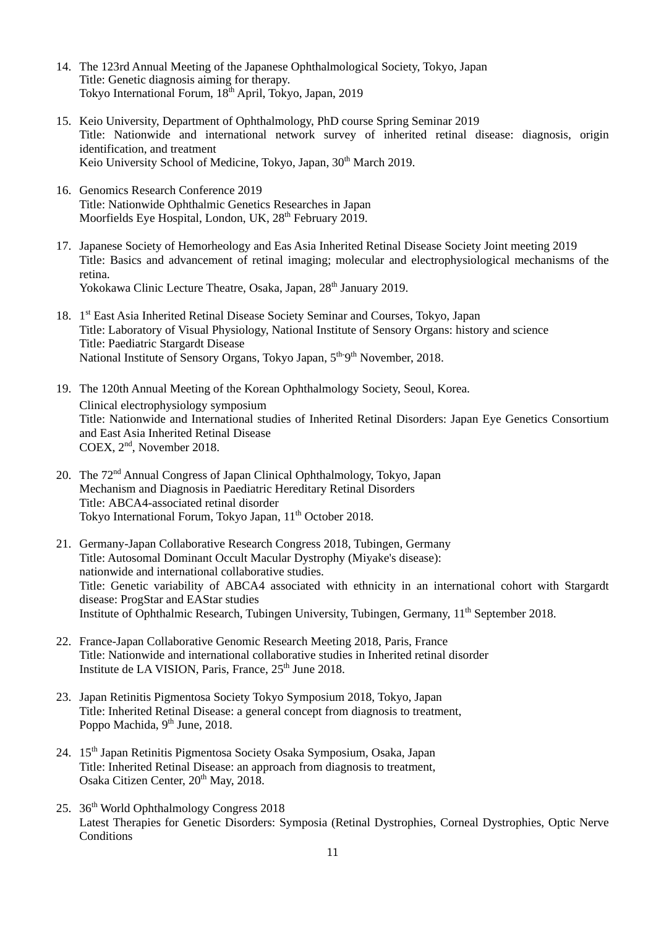- 14. The 123rd Annual Meeting of the Japanese Ophthalmological Society, Tokyo, Japan Title: Genetic diagnosis aiming for therapy. Tokyo International Forum, 18<sup>th</sup> April, Tokyo, Japan, 2019
- 15. Keio University, Department of Ophthalmology, PhD course Spring Seminar 2019 Title: Nationwide and international network survey of inherited retinal disease: diagnosis, origin identification, and treatment Keio University School of Medicine, Tokyo, Japan, 30<sup>th</sup> March 2019.
- 16. Genomics Research Conference 2019 Title: Nationwide Ophthalmic Genetics Researches in Japan Moorfields Eye Hospital, London, UK, 28<sup>th</sup> February 2019.
- 17. Japanese Society of Hemorheology and Eas Asia Inherited Retinal Disease Society Joint meeting 2019 Title: Basics and advancement of retinal imaging; molecular and electrophysiological mechanisms of the retina. Yokokawa Clinic Lecture Theatre, Osaka, Japan, 28<sup>th</sup> January 2019.
- 18. 1<sup>st</sup> East Asia Inherited Retinal Disease Society Seminar and Courses, Tokyo, Japan Title: Laboratory of Visual Physiology, National Institute of Sensory Organs: history and science Title: Paediatric Stargardt Disease National Institute of Sensory Organs, Tokyo Japan, 5<sup>th-9th</sup> November, 2018.
- 19. The 120th Annual Meeting of the Korean Ophthalmology Society, Seoul, Korea. Clinical electrophysiology symposium Title: Nationwide and International studies of Inherited Retinal Disorders: Japan Eye Genetics Consortium and East Asia Inherited Retinal Disease COEX, 2nd , November 2018.
- 20. The 72<sup>nd</sup> Annual Congress of Japan Clinical Ophthalmology, Tokyo, Japan Mechanism and Diagnosis in Paediatric Hereditary Retinal Disorders Title: ABCA4-associated retinal disorder Tokyo International Forum, Tokyo Japan, 11<sup>th</sup> October 2018.
- 21. Germany-Japan Collaborative Research Congress 2018, Tubingen, Germany Title: Autosomal Dominant Occult Macular Dystrophy (Miyake's disease): nationwide and international collaborative studies. Title: Genetic variability of ABCA4 associated with ethnicity in an international cohort with Stargardt disease: ProgStar and EAStar studies Institute of Ophthalmic Research, Tubingen University, Tubingen, Germany, 11<sup>th</sup> September 2018.
- 22. France-Japan Collaborative Genomic Research Meeting 2018, Paris, France Title: Nationwide and international collaborative studies in Inherited retinal disorder Institute de LA VISION, Paris, France, 25<sup>th</sup> June 2018.
- 23. Japan Retinitis Pigmentosa Society Tokyo Symposium 2018, Tokyo, Japan Title: Inherited Retinal Disease: a general concept from diagnosis to treatment, Poppo Machida, 9<sup>th</sup> June, 2018.
- 24. 15<sup>th</sup> Japan Retinitis Pigmentosa Society Osaka Symposium, Osaka, Japan Title: Inherited Retinal Disease: an approach from diagnosis to treatment, Osaka Citizen Center, 20<sup>th</sup> May, 2018.
- 25. 36<sup>th</sup> World Ophthalmology Congress 2018 Latest Therapies for Genetic Disorders: Symposia (Retinal Dystrophies, Corneal Dystrophies, Optic Nerve **Conditions**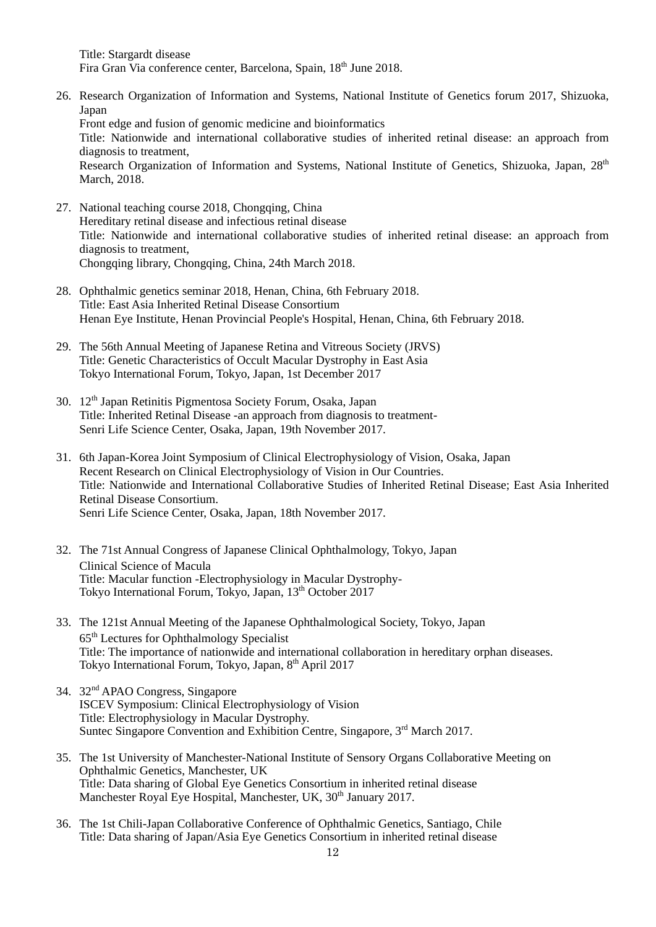Title: Stargardt disease Fira Gran Via conference center, Barcelona, Spain, 18th June 2018.

- 26. Research Organization of Information and Systems, National Institute of Genetics forum 2017, Shizuoka, Japan Front edge and fusion of genomic medicine and bioinformatics Title: Nationwide and international collaborative studies of inherited retinal disease: an approach from diagnosis to treatment, Research Organization of Information and Systems, National Institute of Genetics, Shizuoka, Japan, 28<sup>th</sup> March, 2018.
- 27. National teaching course 2018, Chongqing, China Hereditary retinal disease and infectious retinal disease Title: Nationwide and international collaborative studies of inherited retinal disease: an approach from diagnosis to treatment, Chongqing library, Chongqing, China, 24th March 2018.
- 28. Ophthalmic genetics seminar 2018, Henan, China, 6th February 2018. Title: East Asia Inherited Retinal Disease Consortium Henan Eye Institute, Henan Provincial People's Hospital, Henan, China, 6th February 2018.
- 29. The 56th Annual Meeting of Japanese Retina and Vitreous Society (JRVS) Title: Genetic Characteristics of Occult Macular Dystrophy in East Asia Tokyo International Forum, Tokyo, Japan, 1st December 2017
- 30. 12th Japan Retinitis Pigmentosa Society Forum, Osaka, Japan Title: Inherited Retinal Disease -an approach from diagnosis to treatment-Senri Life Science Center, Osaka, Japan, 19th November 2017.
- 31. 6th Japan-Korea Joint Symposium of Clinical Electrophysiology of Vision, Osaka, Japan Recent Research on Clinical Electrophysiology of Vision in Our Countries. Title: Nationwide and International Collaborative Studies of Inherited Retinal Disease; East Asia Inherited Retinal Disease Consortium. Senri Life Science Center, Osaka, Japan, 18th November 2017.
- 32. The 71st Annual Congress of Japanese Clinical Ophthalmology, Tokyo, Japan Clinical Science of Macula Title: Macular function -Electrophysiology in Macular Dystrophy-Tokyo International Forum, Tokyo, Japan, 13<sup>th</sup> October 2017
- 33. The 121st Annual Meeting of the Japanese Ophthalmological Society, Tokyo, Japan 65th Lectures for Ophthalmology Specialist Title: The importance of nationwide and international collaboration in hereditary orphan diseases. Tokyo International Forum, Tokyo, Japan, 8<sup>th</sup> April 2017
- 34. 32nd APAO Congress, Singapore ISCEV Symposium: Clinical Electrophysiology of Vision Title: Electrophysiology in Macular Dystrophy. Suntec Singapore Convention and Exhibition Centre, Singapore, 3<sup>rd</sup> March 2017.
- 35. The 1st University of Manchester-National Institute of Sensory Organs Collaborative Meeting on Ophthalmic Genetics, Manchester, UK Title: Data sharing of Global Eye Genetics Consortium in inherited retinal disease Manchester Royal Eye Hospital, Manchester, UK, 30<sup>th</sup> January 2017.
- 36. The 1st Chili-Japan Collaborative Conference of Ophthalmic Genetics, Santiago, Chile Title: Data sharing of Japan/Asia Eye Genetics Consortium in inherited retinal disease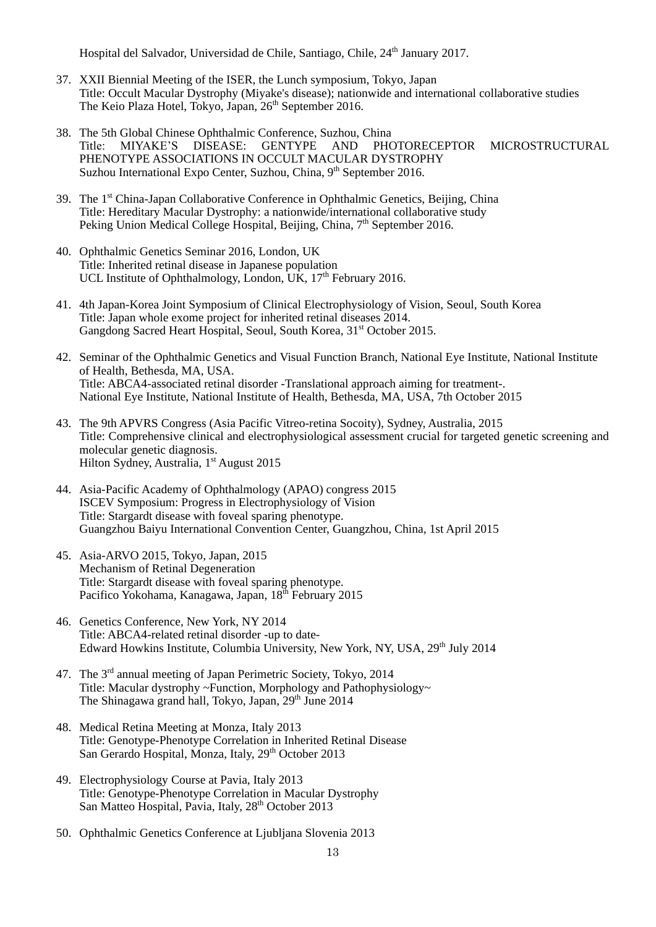Hospital del Salvador, Universidad de Chile, Santiago, Chile, 24<sup>th</sup> January 2017.

- 37. XXII Biennial Meeting of the ISER, the Lunch symposium, Tokyo, Japan Title: Occult Macular Dystrophy (Miyake's disease); nationwide and international collaborative studies The Keio Plaza Hotel, Tokyo, Japan, 26<sup>th</sup> September 2016.
- 38. The 5th Global Chinese Ophthalmic Conference, Suzhou, China Title: MIYAKE'S DISEASE: GENTYPE AND PHOTORECEPTOR MICROSTRUCTURAL PHENOTYPE ASSOCIATIONS IN OCCULT MACULAR DYSTROPHY Suzhou International Expo Center, Suzhou, China, 9<sup>th</sup> September 2016.
- 39. The 1<sup>st</sup> China-Japan Collaborative Conference in Ophthalmic Genetics, Beijing, China Title: Hereditary Macular Dystrophy: a nationwide/international collaborative study Peking Union Medical College Hospital, Beijing, China,  $7<sup>th</sup>$  September 2016.
- 40. Ophthalmic Genetics Seminar 2016, London, UK Title: Inherited retinal disease in Japanese population UCL Institute of Ophthalmology, London, UK, 17<sup>th</sup> February 2016.
- 41. 4th Japan-Korea Joint Symposium of Clinical Electrophysiology of Vision, Seoul, South Korea Title: Japan whole exome project for inherited retinal diseases 2014. Gangdong Sacred Heart Hospital, Seoul, South Korea, 31<sup>st</sup> October 2015.
- 42. Seminar of the Ophthalmic Genetics and Visual Function Branch, National Eye Institute, National Institute of Health, Bethesda, MA, USA. Title: ABCA4-associated retinal disorder -Translational approach aiming for treatment-. National Eye Institute, National Institute of Health, Bethesda, MA, USA, 7th October 2015
- 43. The 9th APVRS Congress (Asia Pacific Vitreo-retina Socoity), Sydney, Australia, 2015 Title: Comprehensive clinical and electrophysiological assessment crucial for targeted genetic screening and molecular genetic diagnosis. Hilton Sydney, Australia, 1<sup>st</sup> August 2015
- 44. Asia-Pacific Academy of Ophthalmology (APAO) congress 2015 ISCEV Symposium: Progress in Electrophysiology of Vision Title: Stargardt disease with foveal sparing phenotype. Guangzhou Baiyu International Convention Center, Guangzhou, China, 1st April 2015
- 45. Asia-ARVO 2015, Tokyo, Japan, 2015 Mechanism of Retinal Degeneration Title: Stargardt disease with foveal sparing phenotype. Pacifico Yokohama, Kanagawa, Japan, 18<sup>th</sup> February 2015
- 46. Genetics Conference, New York, NY 2014 Title: ABCA4-related retinal disorder -up to date-Edward Howkins Institute, Columbia University, New York, NY, USA, 29<sup>th</sup> July 2014
- 47. The 3<sup>rd</sup> annual meeting of Japan Perimetric Society, Tokyo, 2014 Title: Macular dystrophy ~Function, Morphology and Pathophysiology~ The Shinagawa grand hall, Tokyo, Japan, 29<sup>th</sup> June 2014
- 48. Medical Retina Meeting at Monza, Italy 2013 Title: Genotype-Phenotype Correlation in Inherited Retinal Disease San Gerardo Hospital, Monza, Italy, 29<sup>th</sup> October 2013
- 49. Electrophysiology Course at Pavia, Italy 2013 Title: Genotype-Phenotype Correlation in Macular Dystrophy San Matteo Hospital, Pavia, Italy, 28<sup>th</sup> October 2013
- 50. Ophthalmic Genetics Conference at Ljubljana Slovenia 2013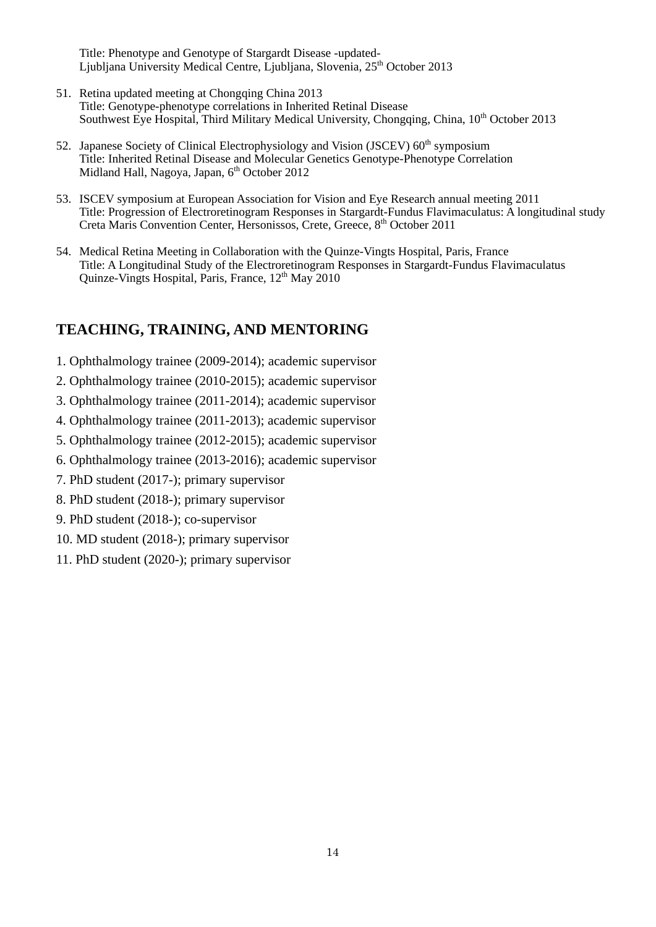Title: Phenotype and Genotype of Stargardt Disease -updated-Ljubljana University Medical Centre, Ljubljana, Slovenia, 25<sup>th</sup> October 2013

- 51. Retina updated meeting at Chongqing China 2013 Title: Genotype-phenotype correlations in Inherited Retinal Disease Southwest Eye Hospital, Third Military Medical University, Chongqing, China, 10<sup>th</sup> October 2013
- 52. Japanese Society of Clinical Electrophysiology and Vision (JSCEV) 60<sup>th</sup> symposium Title: Inherited Retinal Disease and Molecular Genetics Genotype-Phenotype Correlation Midland Hall, Nagoya, Japan, 6<sup>th</sup> October 2012
- 53. ISCEV symposium at European Association for Vision and Eye Research annual meeting 2011 Title: Progression of Electroretinogram Responses in Stargardt-Fundus Flavimaculatus: A longitudinal study Creta [Maris Convention Center,](http://www.maris.gr/featured-services/conferences-and-events-crete-greece.aspx) Hersonissos, Crete, Greece, 8<sup>th</sup> October 2011
- 54. Medical Retina Meeting in Collaboration with the Quinze-Vingts Hospital, Paris, France Title: A Longitudinal Study of the Electroretinogram Responses in Stargardt-Fundus Flavimaculatus Quinze-Vingts Hospital, Paris, France, 12<sup>th</sup> May 2010

#### **TEACHING, TRAINING, AND MENTORING**

- 1. Ophthalmology trainee (2009-2014); academic supervisor
- 2. Ophthalmology trainee (2010-2015); academic supervisor
- 3. Ophthalmology trainee (2011-2014); academic supervisor
- 4. Ophthalmology trainee (2011-2013); academic supervisor
- 5. Ophthalmology trainee (2012-2015); academic supervisor
- 6. Ophthalmology trainee (2013-2016); academic supervisor
- 7. PhD student (2017-); primary supervisor
- 8. PhD student (2018-); primary supervisor
- 9. PhD student (2018-); co-supervisor
- 10. MD student (2018-); primary supervisor
- 11. PhD student (2020-); primary supervisor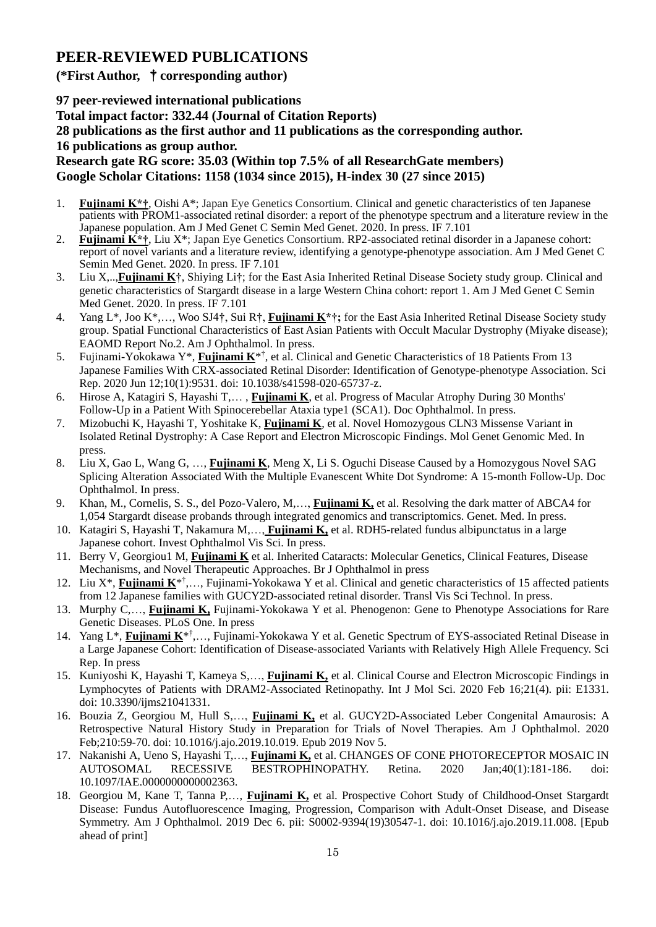# **PEER-REVIEWED PUBLICATIONS**

#### **(\*First Author,** †**corresponding author)**

**97 peer-reviewed international publications Total impact factor: 332.44 (Journal of Citation Reports) 28 publications as the first author and 11 publications as the corresponding author. 16 publications as group author.**

**Research gate RG score: 35.03 (Within top 7.5% of all ResearchGate members) Google Scholar Citations: 1158 (1034 since 2015), H-index 30 (27 since 2015)**

- 1. **Fujinami K\*†**, Oishi A\*; Japan Eye Genetics Consortium. Clinical and genetic characteristics of ten Japanese patients with PROM1-associated retinal disorder: a report of the phenotype spectrum and a literature review in the Japanese population. Am J Med Genet C Semin Med Genet. 2020. In press. IF 7.101
- 2. **Fujinami K\*†**, Liu X\*; Japan Eye Genetics Consortium. RP2-associated retinal disorder in a Japanese cohort: report of novel variants and a literature review, identifying a genotype-phenotype association. Am J Med Genet C Semin Med Genet. 2020. In press. IF 7.101
- 3. Liu X,..,**Fujinami K†**, Shiying Li**†**; for the East Asia Inherited Retinal Disease Society study group. Clinical and genetic characteristics of Stargardt disease in a large Western China cohort: report 1. Am J Med Genet C Semin Med Genet. 2020. In press. IF 7.101
- 4. Yang L\*, Joo K\*,…, Woo SJ4†, Sui R†, **Fujinami K\*†;** for the East Asia Inherited Retinal Disease Society study group. Spatial Functional Characteristics of East Asian Patients with Occult Macular Dystrophy (Miyake disease); EAOMD Report No.2. Am J Ophthalmol. In press.
- 5. Fujinami-Yokokawa Y\*, **Fujinami K**\* † , et al. Clinical and Genetic Characteristics of 18 Patients From 13 Japanese Families With CRX-associated Retinal Disorder: Identification of Genotype-phenotype Association. Sci Rep. 2020 Jun 12;10(1):9531. doi: 10.1038/s41598-020-65737-z.
- 6. Hirose A, Katagiri S, Hayashi T,… , **Fujinami K**, et al. Progress of Macular Atrophy During 30 Months' Follow-Up in a Patient With Spinocerebellar Ataxia type1 (SCA1). Doc Ophthalmol. In press.
- 7. Mizobuchi K, Hayashi T, Yoshitake K, **Fujinami K**, et al. Novel Homozygous CLN3 Missense Variant in Isolated Retinal Dystrophy: A Case Report and Electron Microscopic Findings. Mol Genet Genomic Med. In press.
- 8. Liu X, Gao L, Wang G, …, **Fujinami K**, Meng X, Li S. Oguchi Disease Caused by a Homozygous Novel SAG Splicing Alteration Associated With the Multiple Evanescent White Dot Syndrome: A 15-month Follow-Up. Doc Ophthalmol. In press.
- 9. Khan, M., Cornelis, S. S., del Pozo-Valero, M,…, **Fujinami K,** et al. Resolving the dark matter of ABCA4 for 1,054 Stargardt disease probands through integrated genomics and transcriptomics. Genet. Med. In press.
- 10. Katagiri S, Hayashi T, Nakamura M,…, **Fujinami K,** et al. RDH5-related fundus albipunctatus in a large Japanese cohort. Invest Ophthalmol Vis Sci. In press.
- 11. Berry V, Georgiou1 M, **Fujinami K** et al. Inherited Cataracts: Molecular Genetics, Clinical Features, Disease Mechanisms, and Novel Therapeutic Approaches. Br J Ophthalmol in press
- 12. Liu X<sup>\*</sup>, Fujinami K<sup>\*†</sup>,..., Fujinami-Yokokawa Y et al. Clinical and genetic characteristics of 15 affected patients from 12 Japanese families with GUCY2D-associated retinal disorder. Transl Vis Sci Technol. In press.
- 13. Murphy C,…, **Fujinami K,** Fujinami-Yokokawa Y et al. Phenogenon: Gene to Phenotype Associations for Rare Genetic Diseases. PLoS One. In press
- 14. Yang L<sup>\*</sup>, *Fujinami K*<sup>\*†</sup>,..., Fujinami-Yokokawa Y et al. Genetic Spectrum of EYS-associated Retinal Disease in a Large Japanese Cohort: Identification of Disease-associated Variants with Relatively High Allele Frequency. Sci Rep. In press
- 15. Kuniyoshi K, Hayashi T, Kameya S,…, **Fujinami K,** et al. Clinical Course and Electron Microscopic Findings in Lymphocytes of Patients with DRAM2-Associated Retinopathy. Int J Mol Sci. 2020 Feb 16;21(4). pii: E1331. doi: 10.3390/ijms21041331.
- 16. Bouzia Z, Georgiou M, Hull S,…, **Fujinami K,** et al. GUCY2D-Associated Leber Congenital Amaurosis: A Retrospective Natural History Study in Preparation for Trials of Novel Therapies. Am J Ophthalmol. 2020 Feb;210:59-70. doi: 10.1016/j.ajo.2019.10.019. Epub 2019 Nov 5.
- 17. Nakanishi A, Ueno S, Hayashi T,…, **Fujinami K,** et al. CHANGES OF CONE PHOTORECEPTOR MOSAIC IN AUTOSOMAL RECESSIVE BESTROPHINOPATHY. Retina. 2020 Jan;40(1):181-186. doi: 10.1097/IAE.0000000000002363.
- 18. Georgiou M, Kane T, Tanna P,…, **Fujinami K,** et al. Prospective Cohort Study of Childhood-Onset Stargardt Disease: Fundus Autofluorescence Imaging, Progression, Comparison with Adult-Onset Disease, and Disease Symmetry. Am J Ophthalmol. 2019 Dec 6. pii: S0002-9394(19)30547-1. doi: 10.1016/j.ajo.2019.11.008. [Epub ahead of print]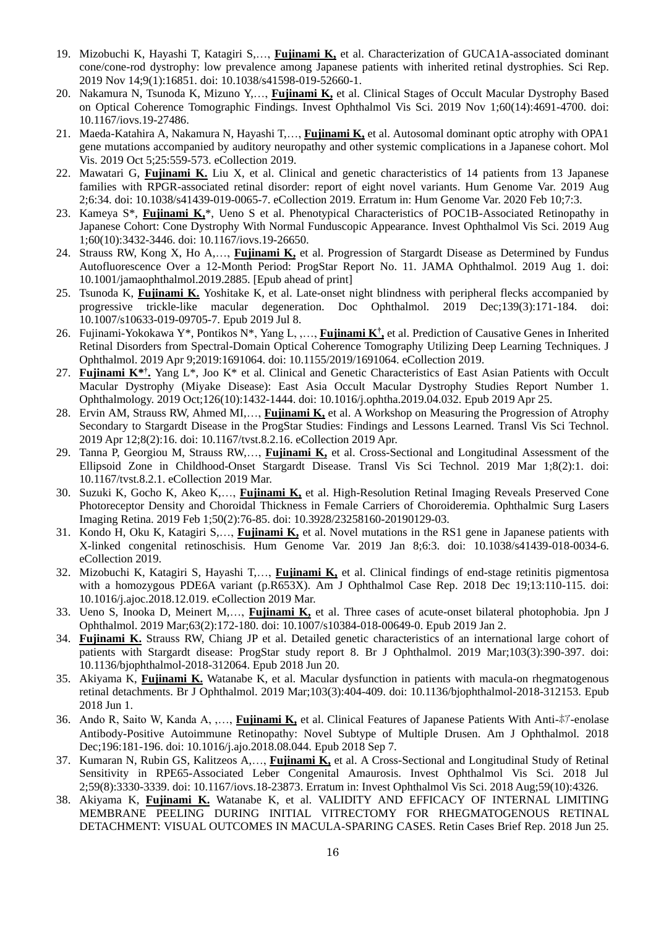- 19. Mizobuchi K, Hayashi T, Katagiri S,…, **Fujinami K,** et al. Characterization of GUCA1A-associated dominant cone/cone-rod dystrophy: low prevalence among Japanese patients with inherited retinal dystrophies. Sci Rep. 2019 Nov 14;9(1):16851. doi: 10.1038/s41598-019-52660-1.
- 20. Nakamura N, Tsunoda K, Mizuno Y,…, **Fujinami K,** et al. Clinical Stages of Occult Macular Dystrophy Based on Optical Coherence Tomographic Findings. Invest Ophthalmol Vis Sci. 2019 Nov 1;60(14):4691-4700. doi: 10.1167/iovs.19-27486.
- 21. Maeda-Katahira A, Nakamura N, Hayashi T,…, **Fujinami K,** et al. Autosomal dominant optic atrophy with OPA1 gene mutations accompanied by auditory neuropathy and other systemic complications in a Japanese cohort. Mol Vis. 2019 Oct 5;25:559-573. eCollection 2019.
- 22. Mawatari G, **Fujinami K.** Liu X, et al. Clinical and genetic characteristics of 14 patients from 13 Japanese families with RPGR-associated retinal disorder: report of eight novel variants. Hum Genome Var. 2019 Aug 2;6:34. doi: 10.1038/s41439-019-0065-7. eCollection 2019. Erratum in: Hum Genome Var. 2020 Feb 10;7:3.
- 23. Kameya S\*, **Fujinami K,**\*, Ueno S et al. Phenotypical Characteristics of POC1B-Associated Retinopathy in Japanese Cohort: Cone Dystrophy With Normal Funduscopic Appearance. Invest Ophthalmol Vis Sci. 2019 Aug 1;60(10):3432-3446. doi: 10.1167/iovs.19-26650.
- 24. Strauss RW, Kong X, Ho A,…, **Fujinami K,** et al. Progression of Stargardt Disease as Determined by Fundus Autofluorescence Over a 12-Month Period: ProgStar Report No. 11. JAMA Ophthalmol. 2019 Aug 1. doi: 10.1001/jamaophthalmol.2019.2885. [Epub ahead of print]
- 25. Tsunoda K, **Fujinami K.** Yoshitake K, et al. Late-onset night blindness with peripheral flecks accompanied by progressive trickle-like macular degeneration. Doc Ophthalmol. 2019 Dec;139(3):171-184. doi: 10.1007/s10633-019-09705-7. Epub 2019 Jul 8.
- 26. Fujinami-Yokokawa Y\*, Pontikos N\*, Yang L, ,…, **Fujinami K† ,** et al. Prediction of Causative Genes in Inherited Retinal Disorders from Spectral-Domain Optical Coherence Tomography Utilizing Deep Learning Techniques. J Ophthalmol. 2019 Apr 9;2019:1691064. doi: 10.1155/2019/1691064. eCollection 2019.
- 27. Fujinami K<sup>\*†</sup>, Yang L<sup>\*</sup>, Joo K<sup>\*</sup> et al. Clinical and Genetic Characteristics of East Asian Patients with Occult Macular Dystrophy (Miyake Disease): East Asia Occult Macular Dystrophy Studies Report Number 1. Ophthalmology. 2019 Oct;126(10):1432-1444. doi: 10.1016/j.ophtha.2019.04.032. Epub 2019 Apr 25.
- 28. Ervin AM, Strauss RW, Ahmed MI,…, **Fujinami K,** et al. A Workshop on Measuring the Progression of Atrophy Secondary to Stargardt Disease in the ProgStar Studies: Findings and Lessons Learned. Transl Vis Sci Technol. 2019 Apr 12;8(2):16. doi: 10.1167/tvst.8.2.16. eCollection 2019 Apr.
- 29. Tanna P, Georgiou M, Strauss RW,…, **Fujinami K,** et al. Cross-Sectional and Longitudinal Assessment of the Ellipsoid Zone in Childhood-Onset Stargardt Disease. Transl Vis Sci Technol. 2019 Mar 1;8(2):1. doi: 10.1167/tvst.8.2.1. eCollection 2019 Mar.
- 30. Suzuki K, Gocho K, Akeo K,…, **Fujinami K,** et al. High-Resolution Retinal Imaging Reveals Preserved Cone Photoreceptor Density and Choroidal Thickness in Female Carriers of Choroideremia. Ophthalmic Surg Lasers Imaging Retina. 2019 Feb 1;50(2):76-85. doi: 10.3928/23258160-20190129-03.
- 31. Kondo H, Oku K, Katagiri S,…, **Fujinami K,** et al. Novel mutations in the RS1 gene in Japanese patients with X-linked congenital retinoschisis. Hum Genome Var. 2019 Jan 8;6:3. doi: 10.1038/s41439-018-0034-6. eCollection 2019.
- 32. Mizobuchi K, Katagiri S, Hayashi T,…, **Fujinami K,** et al. Clinical findings of end-stage retinitis pigmentosa with a homozygous PDE6A variant (p.R653X). Am J Ophthalmol Case Rep. 2018 Dec 19;13:110-115. doi: 10.1016/j.ajoc.2018.12.019. eCollection 2019 Mar.
- 33. Ueno S, Inooka D, Meinert M,…, **Fujinami K,** et al. Three cases of acute-onset bilateral photophobia. Jpn J Ophthalmol. 2019 Mar;63(2):172-180. doi: 10.1007/s10384-018-00649-0. Epub 2019 Jan 2.
- 34. **Fujinami K.** Strauss RW, Chiang JP et al. Detailed genetic characteristics of an international large cohort of patients with Stargardt disease: ProgStar study report 8. Br J Ophthalmol. 2019 Mar;103(3):390-397. doi: 10.1136/bjophthalmol-2018-312064. Epub 2018 Jun 20.
- 35. Akiyama K, **Fujinami K.** Watanabe K, et al. Macular dysfunction in patients with macula-on rhegmatogenous retinal detachments. Br J Ophthalmol. 2019 Mar;103(3):404-409. doi: 10.1136/bjophthalmol-2018-312153. Epub 2018 Jun 1.
- 36. Ando R, Saito W, Kanda A, ,…, **Fujinami K,** et al. Clinical Features of Japanese Patients With Anti-ホア-enolase Antibody-Positive Autoimmune Retinopathy: Novel Subtype of Multiple Drusen. Am J Ophthalmol. 2018 Dec;196:181-196. doi: 10.1016/j.ajo.2018.08.044. Epub 2018 Sep 7.
- 37. Kumaran N, Rubin GS, Kalitzeos A,…, **Fujinami K,** et al. A Cross-Sectional and Longitudinal Study of Retinal Sensitivity in RPE65-Associated Leber Congenital Amaurosis. Invest Ophthalmol Vis Sci. 2018 Jul 2;59(8):3330-3339. doi: 10.1167/iovs.18-23873. Erratum in: Invest Ophthalmol Vis Sci. 2018 Aug;59(10):4326.
- 38. Akiyama K, **Fujinami K.** Watanabe K, et al. VALIDITY AND EFFICACY OF INTERNAL LIMITING MEMBRANE PEELING DURING INITIAL VITRECTOMY FOR RHEGMATOGENOUS RETINAL DETACHMENT: VISUAL OUTCOMES IN MACULA-SPARING CASES. Retin Cases Brief Rep. 2018 Jun 25.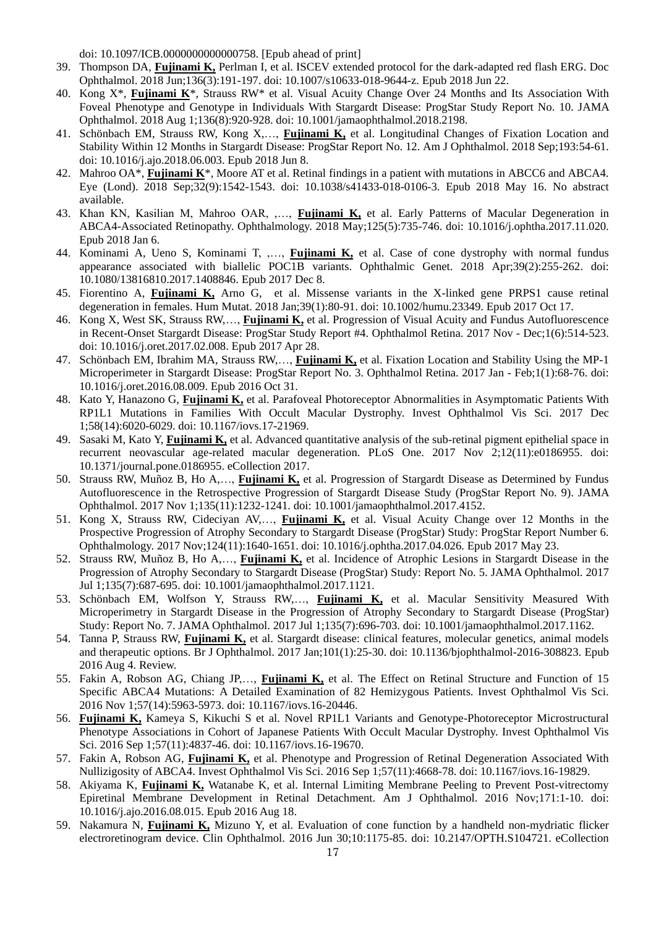doi: 10.1097/ICB.0000000000000758. [Epub ahead of print]

- 39. Thompson DA, **Fujinami K,** Perlman I, et al. ISCEV extended protocol for the dark-adapted red flash ERG. Doc Ophthalmol. 2018 Jun;136(3):191-197. doi: 10.1007/s10633-018-9644-z. Epub 2018 Jun 22.
- 40. Kong X\*, **Fujinami K**\*, Strauss RW\* et al. Visual Acuity Change Over 24 Months and Its Association With Foveal Phenotype and Genotype in Individuals With Stargardt Disease: ProgStar Study Report No. 10. JAMA Ophthalmol. 2018 Aug 1;136(8):920-928. doi: 10.1001/jamaophthalmol.2018.2198.
- 41. Schönbach EM, Strauss RW, Kong X,…, **Fujinami K,** et al. Longitudinal Changes of Fixation Location and Stability Within 12 Months in Stargardt Disease: ProgStar Report No. 12. Am J Ophthalmol. 2018 Sep;193:54-61. doi: 10.1016/j.ajo.2018.06.003. Epub 2018 Jun 8.
- 42. Mahroo OA\*, **Fujinami K**\*, Moore AT et al. Retinal findings in a patient with mutations in ABCC6 and ABCA4. Eye (Lond). 2018 Sep;32(9):1542-1543. doi: 10.1038/s41433-018-0106-3. Epub 2018 May 16. No abstract available.
- 43. Khan KN, Kasilian M, Mahroo OAR, ,…, **Fujinami K,** et al. Early Patterns of Macular Degeneration in ABCA4-Associated Retinopathy. Ophthalmology. 2018 May;125(5):735-746. doi: 10.1016/j.ophtha.2017.11.020. Epub 2018 Jan 6.
- 44. Kominami A, Ueno S, Kominami T, ,…, **Fujinami K,** et al. Case of cone dystrophy with normal fundus appearance associated with biallelic POC1B variants. Ophthalmic Genet. 2018 Apr;39(2):255-262. doi: 10.1080/13816810.2017.1408846. Epub 2017 Dec 8.
- 45. Fiorentino A, **Fujinami K,** Arno G, et al. Missense variants in the X-linked gene PRPS1 cause retinal degeneration in females. Hum Mutat. 2018 Jan;39(1):80-91. doi: 10.1002/humu.23349. Epub 2017 Oct 17.
- 46. Kong X, West SK, Strauss RW,…, **Fujinami K,** et al. Progression of Visual Acuity and Fundus Autofluorescence in Recent-Onset Stargardt Disease: ProgStar Study Report #4. Ophthalmol Retina. 2017 Nov - Dec;1(6):514-523. doi: 10.1016/j.oret.2017.02.008. Epub 2017 Apr 28.
- 47. Schönbach EM, Ibrahim MA, Strauss RW,…, **Fujinami K,** et al. Fixation Location and Stability Using the MP-1 Microperimeter in Stargardt Disease: ProgStar Report No. 3. Ophthalmol Retina. 2017 Jan - Feb;1(1):68-76. doi: 10.1016/j.oret.2016.08.009. Epub 2016 Oct 31.
- 48. Kato Y, Hanazono G, **Fujinami K,** et al. Parafoveal Photoreceptor Abnormalities in Asymptomatic Patients With RP1L1 Mutations in Families With Occult Macular Dystrophy. Invest Ophthalmol Vis Sci. 2017 Dec 1;58(14):6020-6029. doi: 10.1167/iovs.17-21969.
- 49. Sasaki M, Kato Y, **Fujinami K,** et al. Advanced quantitative analysis of the sub-retinal pigment epithelial space in recurrent neovascular age-related macular degeneration. PLoS One. 2017 Nov 2;12(11):e0186955. doi: 10.1371/journal.pone.0186955. eCollection 2017.
- 50. Strauss RW, Muñoz B, Ho A,…, **Fujinami K,** et al. Progression of Stargardt Disease as Determined by Fundus Autofluorescence in the Retrospective Progression of Stargardt Disease Study (ProgStar Report No. 9). JAMA Ophthalmol. 2017 Nov 1;135(11):1232-1241. doi: 10.1001/jamaophthalmol.2017.4152.
- 51. Kong X, Strauss RW, Cideciyan AV,…, **Fujinami K,** et al. Visual Acuity Change over 12 Months in the Prospective Progression of Atrophy Secondary to Stargardt Disease (ProgStar) Study: ProgStar Report Number 6. Ophthalmology. 2017 Nov;124(11):1640-1651. doi: 10.1016/j.ophtha.2017.04.026. Epub 2017 May 23.
- 52. Strauss RW, Muñoz B, Ho A,…, **Fujinami K,** et al. Incidence of Atrophic Lesions in Stargardt Disease in the Progression of Atrophy Secondary to Stargardt Disease (ProgStar) Study: Report No. 5. JAMA Ophthalmol. 2017 Jul 1;135(7):687-695. doi: 10.1001/jamaophthalmol.2017.1121.
- 53. Schönbach EM, Wolfson Y, Strauss RW,…, **Fujinami K,** et al. Macular Sensitivity Measured With Microperimetry in Stargardt Disease in the Progression of Atrophy Secondary to Stargardt Disease (ProgStar) Study: Report No. 7. JAMA Ophthalmol. 2017 Jul 1;135(7):696-703. doi: 10.1001/jamaophthalmol.2017.1162.
- 54. Tanna P, Strauss RW, **Fujinami K,** et al. Stargardt disease: clinical features, molecular genetics, animal models and therapeutic options. Br J Ophthalmol. 2017 Jan;101(1):25-30. doi: 10.1136/bjophthalmol-2016-308823. Epub 2016 Aug 4. Review.
- 55. Fakin A, Robson AG, Chiang JP,…, **Fujinami K,** et al. The Effect on Retinal Structure and Function of 15 Specific ABCA4 Mutations: A Detailed Examination of 82 Hemizygous Patients. Invest Ophthalmol Vis Sci. 2016 Nov 1;57(14):5963-5973. doi: 10.1167/iovs.16-20446.
- 56. **Fujinami K,** Kameya S, Kikuchi S et al. Novel RP1L1 Variants and Genotype-Photoreceptor Microstructural Phenotype Associations in Cohort of Japanese Patients With Occult Macular Dystrophy. Invest Ophthalmol Vis Sci. 2016 Sep 1;57(11):4837-46. doi: 10.1167/iovs.16-19670.
- 57. Fakin A, Robson AG, **Fujinami K,** et al. Phenotype and Progression of Retinal Degeneration Associated With Nullizigosity of ABCA4. Invest Ophthalmol Vis Sci. 2016 Sep 1;57(11):4668-78. doi: 10.1167/iovs.16-19829.
- 58. Akiyama K, **Fujinami K,** Watanabe K, et al. Internal Limiting Membrane Peeling to Prevent Post-vitrectomy Epiretinal Membrane Development in Retinal Detachment. Am J Ophthalmol. 2016 Nov;171:1-10. doi: 10.1016/j.ajo.2016.08.015. Epub 2016 Aug 18.
- 59. Nakamura N, **Fujinami K,** Mizuno Y, et al. Evaluation of cone function by a handheld non-mydriatic flicker electroretinogram device. Clin Ophthalmol. 2016 Jun 30;10:1175-85. doi: 10.2147/OPTH.S104721. eCollection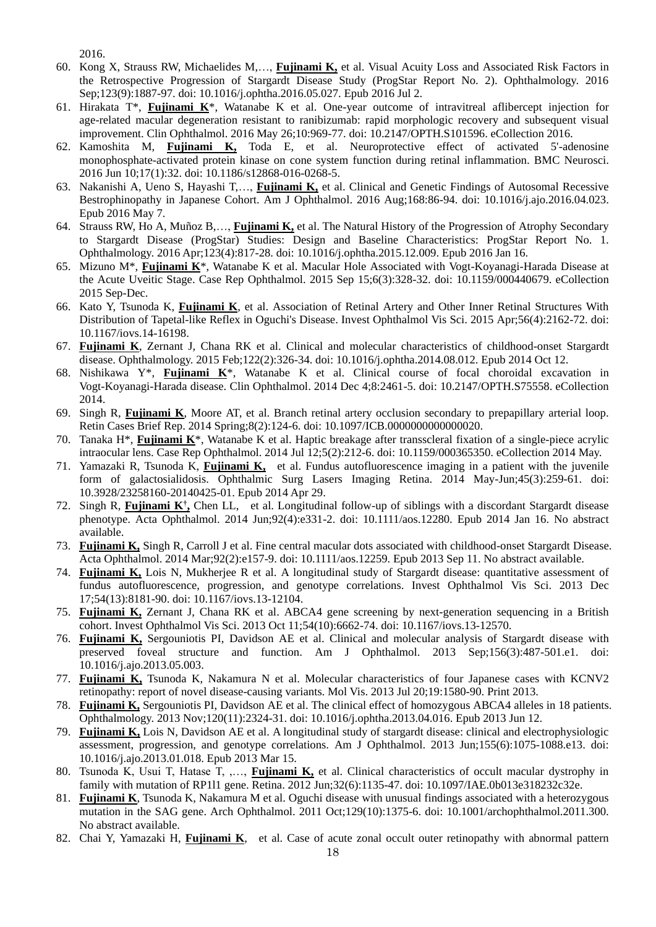2016.

- 60. Kong X, Strauss RW, Michaelides M,…, **Fujinami K,** et al. Visual Acuity Loss and Associated Risk Factors in the Retrospective Progression of Stargardt Disease Study (ProgStar Report No. 2). Ophthalmology. 2016 Sep;123(9):1887-97. doi: 10.1016/j.ophtha.2016.05.027. Epub 2016 Jul 2.
- 61. Hirakata T\*, **Fujinami K**\*, Watanabe K et al. One-year outcome of intravitreal aflibercept injection for age-related macular degeneration resistant to ranibizumab: rapid morphologic recovery and subsequent visual improvement. Clin Ophthalmol. 2016 May 26;10:969-77. doi: 10.2147/OPTH.S101596. eCollection 2016.
- 62. Kamoshita M, **Fujinami K,** Toda E, et al. Neuroprotective effect of activated 5'-adenosine monophosphate-activated protein kinase on cone system function during retinal inflammation. BMC Neurosci. 2016 Jun 10;17(1):32. doi: 10.1186/s12868-016-0268-5.
- 63. Nakanishi A, Ueno S, Hayashi T,…, **Fujinami K,** et al. Clinical and Genetic Findings of Autosomal Recessive Bestrophinopathy in Japanese Cohort. Am J Ophthalmol. 2016 Aug;168:86-94. doi: 10.1016/j.ajo.2016.04.023. Epub 2016 May 7.
- 64. Strauss RW, Ho A, Muñoz B,…, **Fujinami K,** et al. The Natural History of the Progression of Atrophy Secondary to Stargardt Disease (ProgStar) Studies: Design and Baseline Characteristics: ProgStar Report No. 1. Ophthalmology. 2016 Apr;123(4):817-28. doi: 10.1016/j.ophtha.2015.12.009. Epub 2016 Jan 16.
- 65. Mizuno M\*, **Fujinami K**\*, Watanabe K et al. Macular Hole Associated with Vogt-Koyanagi-Harada Disease at the Acute Uveitic Stage. Case Rep Ophthalmol. 2015 Sep 15;6(3):328-32. doi: 10.1159/000440679. eCollection 2015 Sep-Dec.
- 66. Kato Y, Tsunoda K, **Fujinami K**, et al. Association of Retinal Artery and Other Inner Retinal Structures With Distribution of Tapetal-like Reflex in Oguchi's Disease. Invest Ophthalmol Vis Sci. 2015 Apr;56(4):2162-72. doi: 10.1167/iovs.14-16198.
- 67. **Fujinami K**, Zernant J, Chana RK et al. Clinical and molecular characteristics of childhood-onset Stargardt disease. Ophthalmology. 2015 Feb;122(2):326-34. doi: 10.1016/j.ophtha.2014.08.012. Epub 2014 Oct 12.
- 68. Nishikawa Y\*, **Fujinami K**\*, Watanabe K et al. Clinical course of focal choroidal excavation in Vogt-Koyanagi-Harada disease. Clin Ophthalmol. 2014 Dec 4;8:2461-5. doi: 10.2147/OPTH.S75558. eCollection 2014.
- 69. Singh R, **Fujinami K**, Moore AT, et al. Branch retinal artery occlusion secondary to prepapillary arterial loop. Retin Cases Brief Rep. 2014 Spring;8(2):124-6. doi: 10.1097/ICB.0000000000000020.
- 70. Tanaka H\*, **Fujinami K**\*, Watanabe K et al. Haptic breakage after transscleral fixation of a single-piece acrylic intraocular lens. Case Rep Ophthalmol. 2014 Jul 12;5(2):212-6. doi: 10.1159/000365350. eCollection 2014 May.
- 71. Yamazaki R, Tsunoda K, **Fujinami K,** et al. Fundus autofluorescence imaging in a patient with the juvenile form of galactosialidosis. Ophthalmic Surg Lasers Imaging Retina. 2014 May-Jun;45(3):259-61. doi: 10.3928/23258160-20140425-01. Epub 2014 Apr 29.
- 72. Singh R, **Fujinami K† ,** Chen LL, et al. Longitudinal follow-up of siblings with a discordant Stargardt disease phenotype. Acta Ophthalmol. 2014 Jun;92(4):e331-2. doi: 10.1111/aos.12280. Epub 2014 Jan 16. No abstract available.
- 73. **Fujinami K,** Singh R, Carroll J et al. Fine central macular dots associated with childhood-onset Stargardt Disease. Acta Ophthalmol. 2014 Mar;92(2):e157-9. doi: 10.1111/aos.12259. Epub 2013 Sep 11. No abstract available.
- 74. **Fujinami K,** Lois N, Mukherjee R et al. A longitudinal study of Stargardt disease: quantitative assessment of fundus autofluorescence, progression, and genotype correlations. Invest Ophthalmol Vis Sci. 2013 Dec 17;54(13):8181-90. doi: 10.1167/iovs.13-12104.
- 75. **Fujinami K,** Zernant J, Chana RK et al. ABCA4 gene screening by next-generation sequencing in a British cohort. Invest Ophthalmol Vis Sci. 2013 Oct 11;54(10):6662-74. doi: 10.1167/iovs.13-12570.
- 76. **Fujinami K,** Sergouniotis PI, Davidson AE et al. Clinical and molecular analysis of Stargardt disease with preserved foveal structure and function. Am J Ophthalmol. 2013 Sep;156(3):487-501.e1. doi: 10.1016/j.ajo.2013.05.003.
- 77. **Fujinami K,** Tsunoda K, Nakamura N et al. Molecular characteristics of four Japanese cases with KCNV2 retinopathy: report of novel disease-causing variants. Mol Vis. 2013 Jul 20;19:1580-90. Print 2013.
- 78. **Fujinami K,** Sergouniotis PI, Davidson AE et al. The clinical effect of homozygous ABCA4 alleles in 18 patients. Ophthalmology. 2013 Nov;120(11):2324-31. doi: 10.1016/j.ophtha.2013.04.016. Epub 2013 Jun 12.
- 79. **Fujinami K,** Lois N, Davidson AE et al. A longitudinal study of stargardt disease: clinical and electrophysiologic assessment, progression, and genotype correlations. Am J Ophthalmol. 2013 Jun;155(6):1075-1088.e13. doi: 10.1016/j.ajo.2013.01.018. Epub 2013 Mar 15.
- 80. Tsunoda K, Usui T, Hatase T, ,…, **Fujinami K,** et al. Clinical characteristics of occult macular dystrophy in family with mutation of RP1l1 gene. Retina. 2012 Jun;32(6):1135-47. doi: 10.1097/IAE.0b013e318232c32e.
- 81. **Fujinami K**, Tsunoda K, Nakamura M et al. Oguchi disease with unusual findings associated with a heterozygous mutation in the SAG gene. Arch Ophthalmol. 2011 Oct;129(10):1375-6. doi: 10.1001/archophthalmol.2011.300. No abstract available.
- 82. Chai Y, Yamazaki H, **Fujinami K**, et al. Case of acute zonal occult outer retinopathy with abnormal pattern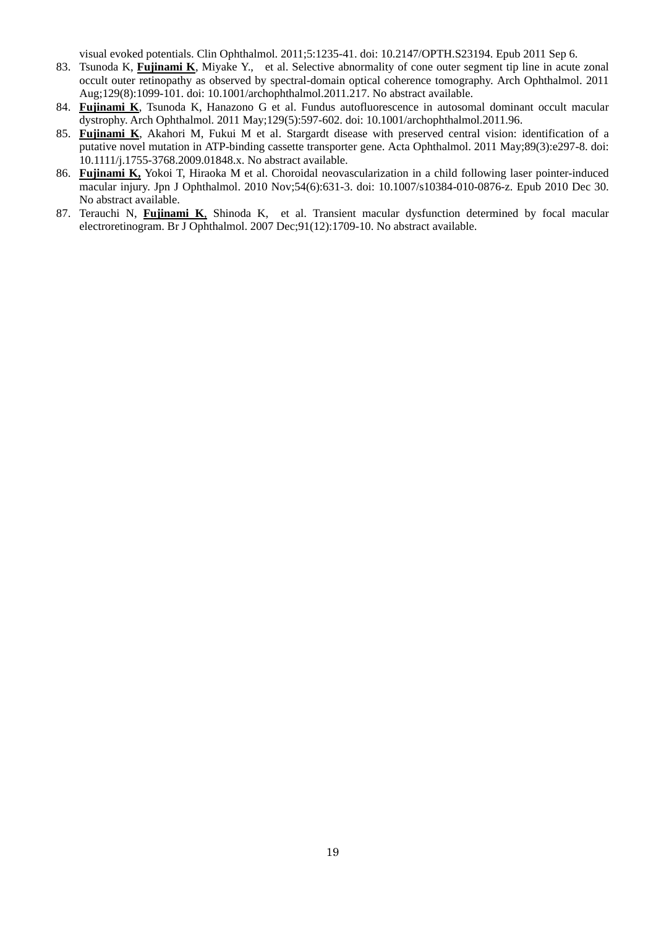visual evoked potentials. Clin Ophthalmol. 2011;5:1235-41. doi: 10.2147/OPTH.S23194. Epub 2011 Sep 6.

- 83. Tsunoda K, **Fujinami K**, Miyake Y., et al. Selective abnormality of cone outer segment tip line in acute zonal occult outer retinopathy as observed by spectral-domain optical coherence tomography. Arch Ophthalmol. 2011 Aug;129(8):1099-101. doi: 10.1001/archophthalmol.2011.217. No abstract available.
- 84. **Fujinami K**, Tsunoda K, Hanazono G et al. Fundus autofluorescence in autosomal dominant occult macular dystrophy. Arch Ophthalmol. 2011 May;129(5):597-602. doi: 10.1001/archophthalmol.2011.96.
- 85. **Fujinami K**, Akahori M, Fukui M et al. Stargardt disease with preserved central vision: identification of a putative novel mutation in ATP-binding cassette transporter gene. Acta Ophthalmol. 2011 May;89(3):e297-8. doi: 10.1111/j.1755-3768.2009.01848.x. No abstract available.
- 86. **Fujinami K,** Yokoi T, Hiraoka M et al. Choroidal neovascularization in a child following laser pointer-induced macular injury. Jpn J Ophthalmol. 2010 Nov;54(6):631-3. doi: 10.1007/s10384-010-0876-z. Epub 2010 Dec 30. No abstract available.
- 87. Terauchi N, **Fujinami K**, Shinoda K, et al. Transient macular dysfunction determined by focal macular electroretinogram. Br J Ophthalmol. 2007 Dec;91(12):1709-10. No abstract available.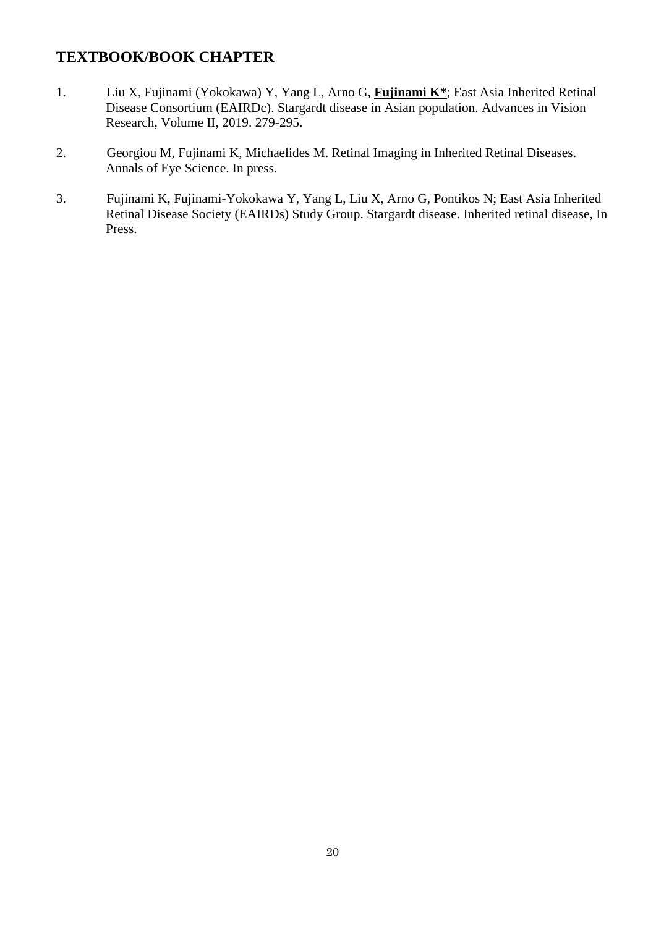# **TEXTBOOK/BOOK CHAPTER**

- 1. Liu X, Fujinami (Yokokawa) Y, Yang L, Arno G, **Fujinami K\***; East Asia Inherited Retinal Disease Consortium (EAIRDc). Stargardt disease in Asian population. Advances in Vision Research, Volume II, 2019. 279-295.
- 2. Georgiou M, Fujinami K, Michaelides M. Retinal Imaging in Inherited Retinal Diseases. Annals of Eye Science. In press.
- 3. Fujinami K, Fujinami-Yokokawa Y, Yang L, Liu X, Arno G, Pontikos N; East Asia Inherited Retinal Disease Society (EAIRDs) Study Group. Stargardt disease. Inherited retinal disease, In Press.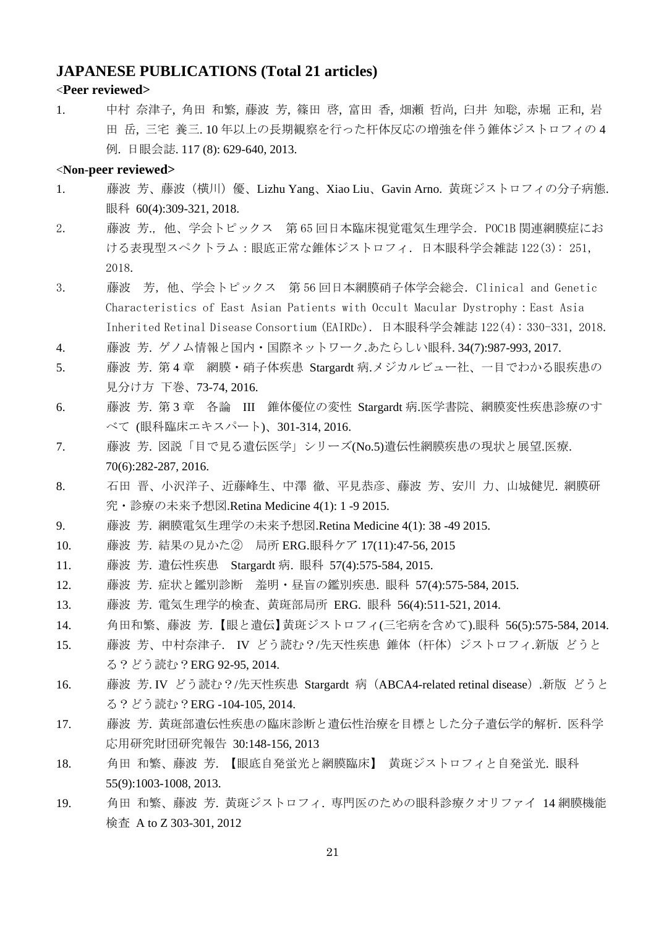#### **JAPANESE PUBLICATIONS (Total 21 articles)**

#### <**Peer reviewed>**

1. 中村 奈津子, 角田 和繁, 藤波 芳, 篠田 啓, 富田 香, 畑瀬 哲尚, 臼井 知聡, 赤堀 正和, 岩 田 岳, 三宅 養三. 10 年以上の長期観察を行った杆体反応の増強を伴う錐体ジストロフィの 4 例. 日眼会誌. 117 (8): 629-640, 2013.

#### <**Non-peer reviewed>**

- 1. 藤波 芳、藤波(横川)優、Lizhu Yang、Xiao Liu、Gavin Arno. 黄斑ジストロフィの分子病態. 眼科 60(4):309-321, 2018.
- 2. 藤波 芳.,他、学会トピックス 第 65 回日本臨床視覚電気生理学会.POC1B 関連網膜症にお ける表現型スペクトラム:眼底正常な錐体ジストロフィ.日本眼科学会雑誌 122(3): 251, 2018.
- 3. 藤波 芳,他、学会トピックス 第 56 回日本網膜硝子体学会総会.Clinical and Genetic Characteristics of East Asian Patients with Occult Macular Dystrophy:East Asia Inherited Retinal Disease Consortium (EAIRDc).日本眼科学会雑誌 122(4): 330-331, 2018.
- 4. 藤波 芳. ゲノム情報と国内・国際ネットワーク.あたらしい眼科. 34(7):987-993, 2017.
- 5. 藤波 芳. 第4章 網膜・硝子体疾患 Stargardt 病.メジカルビュー社、一目でわかる眼疾患の 見分け方 下巻、73-74, 2016.
- 6. 藤波 芳. 第 3 章 各論 III 錐体優位の変性 Stargardt 病.医学書院、網膜変性疾患診療のす べて (眼科臨床エキスパート)、301-314, 2016.
- 7. 藤波 芳. 図説「目で見る遺伝医学」シリーズ(No.5)遺伝性網膜疾患の現状と展望.医療. 70(6):282-287, 2016.
- 8. 石田 晋、小沢洋子、近藤峰生、中澤 徹、平見恭彦、藤波 芳、安川 力、山城健児. 網膜研 究・診療の未来予想図.Retina Medicine 4(1): 1 -9 2015.
- 9. 藤波 芳. 網膜電気生理学の未来予想図.Retina Medicine 4(1): 38 -49 2015.
- 10. 藤波 芳. 結果の見かた② 局所 ERG.眼科ケア 17(11):47-56, 2015
- 11. 藤波 芳. 遺伝性疾患 Stargardt 病. 眼科 57(4):575-584, 2015.
- 12. 藤波 芳. 症状と鑑別診断 羞明・昼盲の鑑別疾患. 眼科 57(4):575-584, 2015.
- 13. 藤波 芳. 電気生理学的検査、黄斑部局所 ERG. 眼科 56(4):511-521, 2014.
- 14. 角田和繁、藤波 芳. 【眼と遺伝】黄斑ジストロフィ(三宅病を含めて).眼科 56(5):575-584, 2014.
- 15. 藤波 芳、中村奈津子. IV どう読む?/先天性疾患 錐体(杆体)ジストロフィ.新版 どうと る?どう読む?ERG 92-95, 2014.
- 16. 藤波 芳. IV どう読む?/先天性疾患 Stargardt 病(ABCA4-related retinal disease).新版 どうと る?どう読む?ERG -104-105, 2014.
- 17. 藤波 芳. 黄斑部遺伝性疾患の臨床診断と遺伝性治療を目標とした分子遺伝学的解析. 医科学 応用研究財団研究報告 30:148-156, 2013
- 18. 角田 和繁、藤波 芳. 【眼底自発蛍光と網膜臨床】 黄斑ジストロフィと自発蛍光. 眼科 55(9):1003-1008, 2013.
- 19. 角田 和繁、藤波 芳. 黄斑ジストロフィ. 専門医のための眼科診療クオリファイ 14 網膜機能 検査 A to Z 303-301, 2012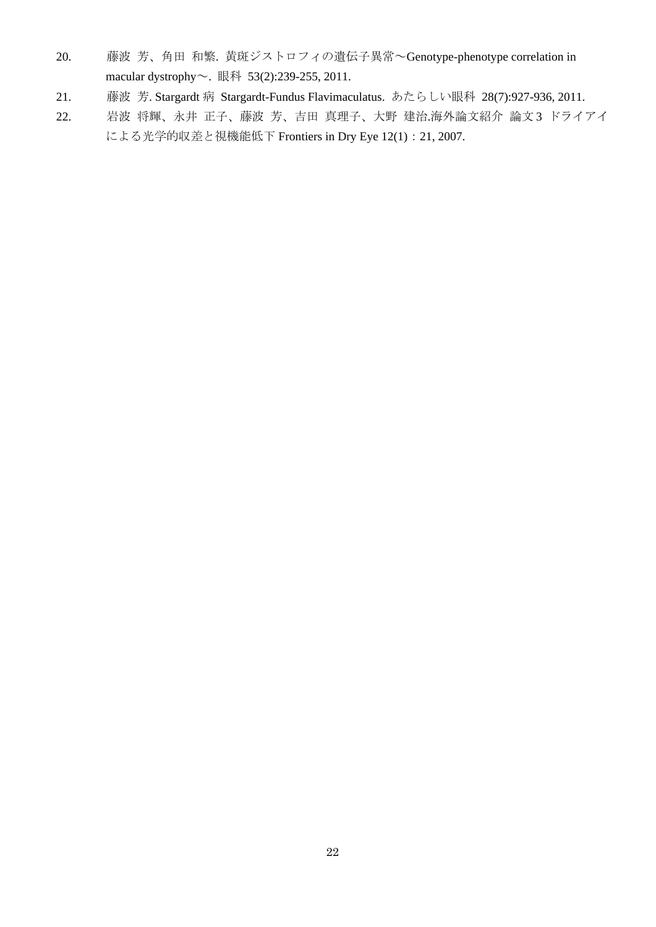- 20. 藤波 芳、角田 和繁. 黄斑ジストロフィの遺伝子異常~Genotype-phenotype correlation in macular dystrophy~. 眼科 53(2):239-255, 2011.
- 21. 藤波 芳. Stargardt 病 Stargardt-Fundus Flavimaculatus. あたらしい眼科 28(7):927-936, 2011.
- 22. 岩波 将輝、永井 正子、藤波 芳、吉田 真理子、大野 建治.海外論文紹介 論文 3 ドライアイ による光学的収差と視機能低下 Frontiers in Dry Eye 12(1):21, 2007.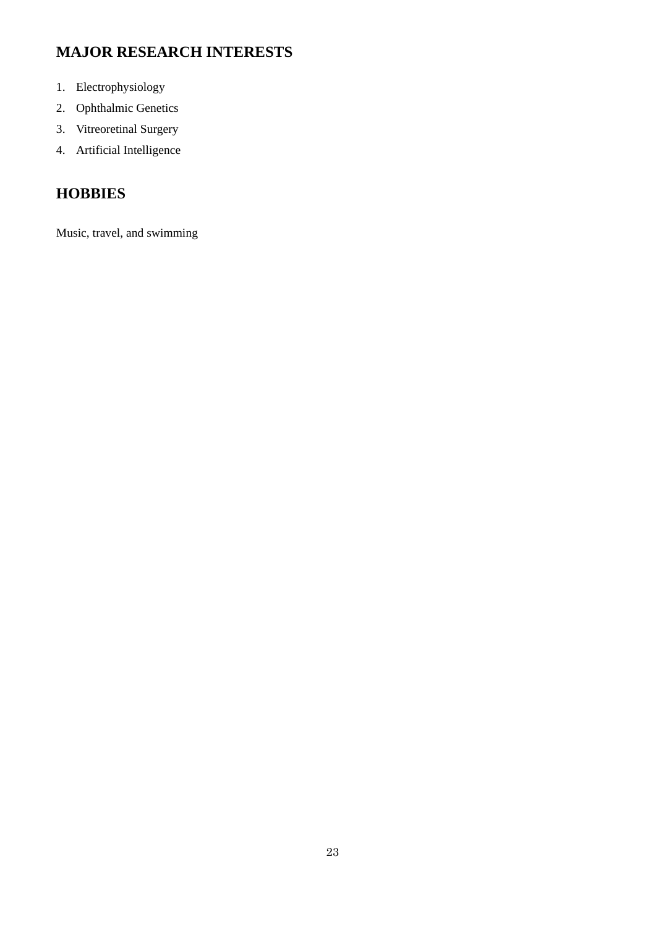# **MAJOR RESEARCH INTERESTS**

- 1. Electrophysiology
- 2. Ophthalmic Genetics
- 3. Vitreoretinal Surgery
- 4. Artificial Intelligence

# **HOBBIES**

Music, travel, and swimming